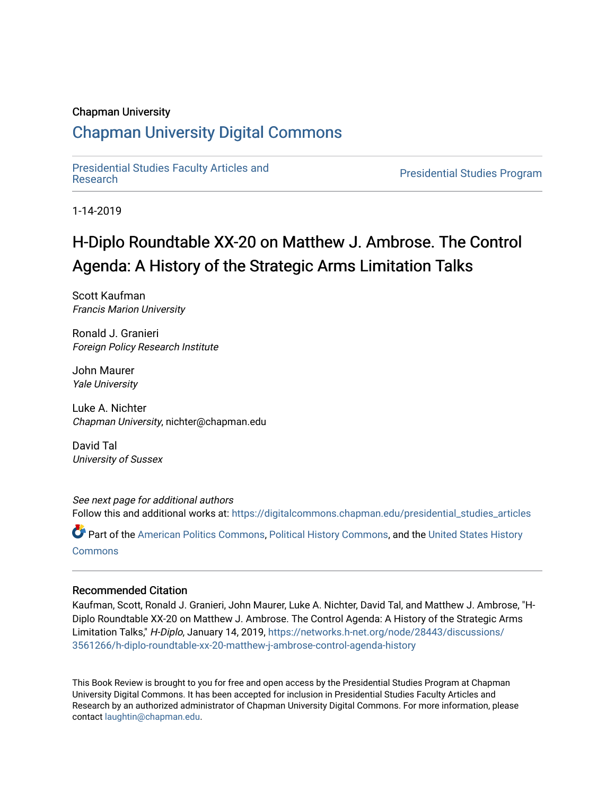#### Chapman University

## [Chapman University Digital Commons](https://digitalcommons.chapman.edu/)

[Presidential Studies Faculty Articles and](https://digitalcommons.chapman.edu/presidential_studies_articles) 

**Presidential Studies Program** 

1-14-2019

# H-Diplo Roundtable XX-20 on Matthew J. Ambrose. The Control Agenda: A History of the Strategic Arms Limitation Talks

Scott Kaufman Francis Marion University

Ronald J. Granieri Foreign Policy Research Institute

John Maurer Yale University

Luke A. Nichter Chapman University, nichter@chapman.edu

David Tal University of Sussex

See next page for additional authors Follow this and additional works at: [https://digitalcommons.chapman.edu/presidential\\_studies\\_articles](https://digitalcommons.chapman.edu/presidential_studies_articles?utm_source=digitalcommons.chapman.edu%2Fpresidential_studies_articles%2F13&utm_medium=PDF&utm_campaign=PDFCoverPages) 

Part of the [American Politics Commons,](http://network.bepress.com/hgg/discipline/387?utm_source=digitalcommons.chapman.edu%2Fpresidential_studies_articles%2F13&utm_medium=PDF&utm_campaign=PDFCoverPages) [Political History Commons,](http://network.bepress.com/hgg/discipline/505?utm_source=digitalcommons.chapman.edu%2Fpresidential_studies_articles%2F13&utm_medium=PDF&utm_campaign=PDFCoverPages) and the [United States History](http://network.bepress.com/hgg/discipline/495?utm_source=digitalcommons.chapman.edu%2Fpresidential_studies_articles%2F13&utm_medium=PDF&utm_campaign=PDFCoverPages) **[Commons](http://network.bepress.com/hgg/discipline/495?utm_source=digitalcommons.chapman.edu%2Fpresidential_studies_articles%2F13&utm_medium=PDF&utm_campaign=PDFCoverPages)** 

#### Recommended Citation

Kaufman, Scott, Ronald J. Granieri, John Maurer, Luke A. Nichter, David Tal, and Matthew J. Ambrose, "H-Diplo Roundtable XX-20 on Matthew J. Ambrose. The Control Agenda: A History of the Strategic Arms Limitation Talks," H-Diplo, January 14, 2019, [https://networks.h-net.org/node/28443/discussions/](https://networks.h-net.org/node/28443/discussions/3561266/h-diplo-roundtable-xx-20-matthew-j-ambrose-control-agenda-history) [3561266/h-diplo-roundtable-xx-20-matthew-j-ambrose-control-agenda-history](https://networks.h-net.org/node/28443/discussions/3561266/h-diplo-roundtable-xx-20-matthew-j-ambrose-control-agenda-history)

This Book Review is brought to you for free and open access by the Presidential Studies Program at Chapman University Digital Commons. It has been accepted for inclusion in Presidential Studies Faculty Articles and Research by an authorized administrator of Chapman University Digital Commons. For more information, please contact [laughtin@chapman.edu](mailto:laughtin@chapman.edu).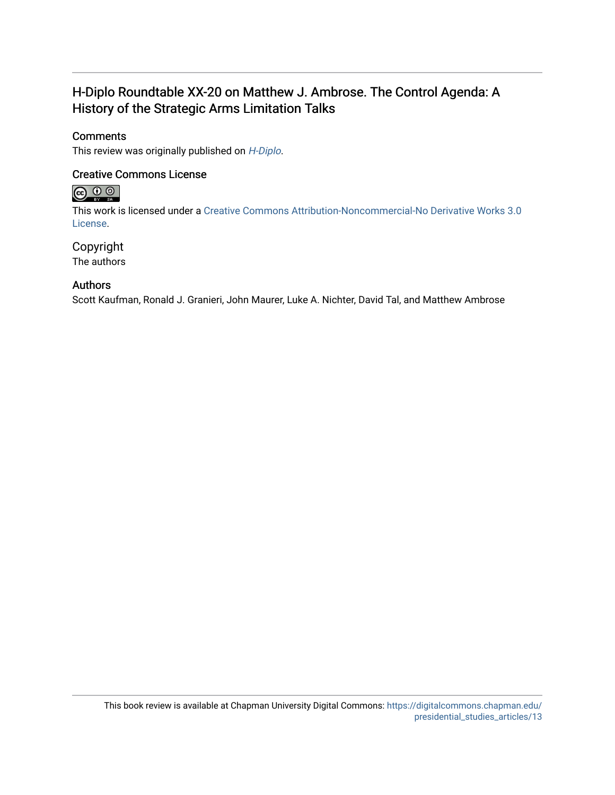### H-Diplo Roundtable XX-20 on Matthew J. Ambrose. The Control Agenda: A History of the Strategic Arms Limitation Talks

#### **Comments**

This review was originally published on [H-Diplo](https://networks.h-net.org/node/28443/discussions/3561266/h-diplo-roundtable-xx-20-matthew-j-ambrose-control-agenda-history).

#### Creative Commons License



This work is licensed under a [Creative Commons Attribution-Noncommercial-No Derivative Works 3.0](https://creativecommons.org/licenses/by-nc-nd/3.0/) [License](https://creativecommons.org/licenses/by-nc-nd/3.0/).

#### Copyright

The authors

#### Authors

Scott Kaufman, Ronald J. Granieri, John Maurer, Luke A. Nichter, David Tal, and Matthew Ambrose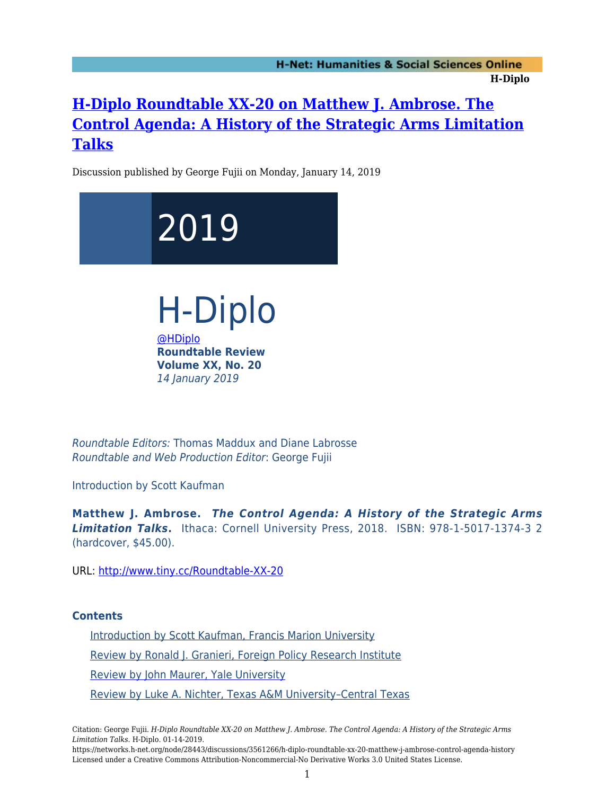## **[H-Diplo Roundtable XX-20 on Matthew J. Ambrose. The](https://networks.h-net.org/node/28443/discussions/3561266/h-diplo-roundtable-xx-20-matthew-j-ambrose-control-agenda-history) [Control Agenda: A History of the Strategic Arms Limitation](https://networks.h-net.org/node/28443/discussions/3561266/h-diplo-roundtable-xx-20-matthew-j-ambrose-control-agenda-history) [Talks](https://networks.h-net.org/node/28443/discussions/3561266/h-diplo-roundtable-xx-20-matthew-j-ambrose-control-agenda-history)**

Discussion published by George Fujii on Monday, January 14, 2019



Roundtable Editors: Thomas Maddux and Diane Labrosse Roundtable and Web Production Editor: George Fujii

Introduction by Scott Kaufman

**Matthew J. Ambrose.** *The Control Agenda: A History of the Strategic Arms Limitation Talks***.** Ithaca: Cornell University Press, 2018. ISBN: 978-1-5017-1374-3 2 (hardcover, \$45.00).

URL:<http://www.tiny.cc/Roundtable-XX-20>

#### **Contents**

[Introduction by Scott Kaufman, Francis Marion University](#page-3-0) [Review by Ronald J. Granieri, Foreign Policy Research Institute](#page-6-0) [Review by John Maurer, Yale University](#page-10-0) [Review by Luke A. Nichter, Texas A&M University–Central Texas](#page-13-0)

Citation: George Fujii. *H-Diplo Roundtable XX-20 on Matthew J. Ambrose. The Control Agenda: A History of the Strategic Arms Limitation Talks*. H-Diplo. 01-14-2019.

https://networks.h-net.org/node/28443/discussions/3561266/h-diplo-roundtable-xx-20-matthew-j-ambrose-control-agenda-history Licensed under a Creative Commons Attribution-Noncommercial-No Derivative Works 3.0 United States License.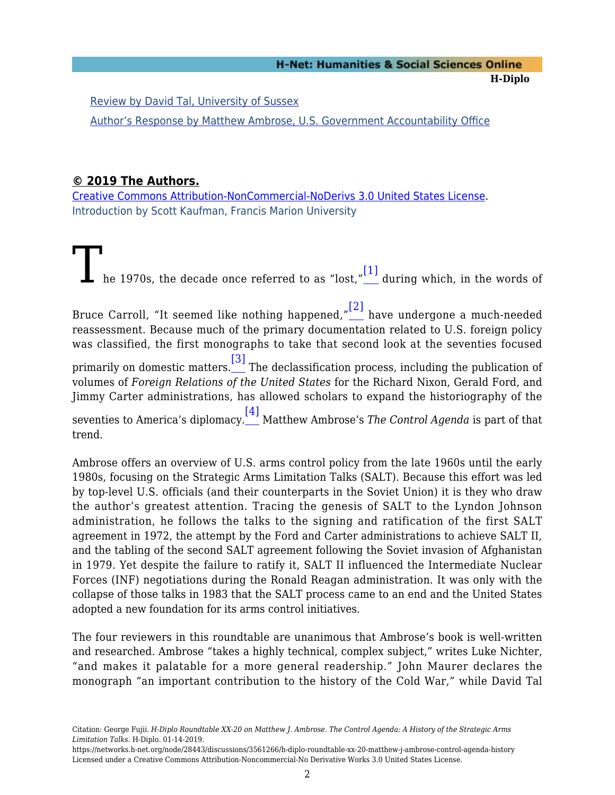[Review by David Tal, University of Sussex](#page-18-0)

[Author's Response by Matthew Ambrose, U.S. Government Accountability Office](#page-21-0)

#### **© 2019 The Authors.**

<span id="page-3-0"></span>[Creative Commons Attribution-NonCommercial-NoDerivs 3.0 United States License](https://creativecommons.org/licenses/by-nc-nd/3.0/us/). Introduction by Scott Kaufman, Francis Marion University

<span id="page-3-2"></span><span id="page-3-1"></span>The 1970s, the decade once referred to as "lost," [\[1\]](#page-26-0) during which, in the words of Bruce Carroll, "It seemed like nothing happened," [\[2\]](#page-26-1) have undergone a much-needed reassessment. Because much of the primary documentation related to U.S. foreign policy was classified, the first monographs to take that second look at the seventies focused primarily on domestic matters. [\[3\]](#page-26-2) The declassification process, including the publication of volumes of *Foreign Relations of the United States* for the Richard Nixon, Gerald Ford, and Jimmy Carter administrations, has allowed scholars to expand the historiography of the seventies to America's diplomacy. [\[4\]](#page-27-0) Matthew Ambrose's *The Control Agenda* is part of that

<span id="page-3-4"></span><span id="page-3-3"></span>trend.

Ambrose offers an overview of U.S. arms control policy from the late 1960s until the early 1980s, focusing on the Strategic Arms Limitation Talks (SALT). Because this effort was led by top-level U.S. officials (and their counterparts in the Soviet Union) it is they who draw the author's greatest attention. Tracing the genesis of SALT to the Lyndon Johnson administration, he follows the talks to the signing and ratification of the first SALT agreement in 1972, the attempt by the Ford and Carter administrations to achieve SALT II, and the tabling of the second SALT agreement following the Soviet invasion of Afghanistan in 1979. Yet despite the failure to ratify it, SALT II influenced the Intermediate Nuclear Forces (INF) negotiations during the Ronald Reagan administration. It was only with the collapse of those talks in 1983 that the SALT process came to an end and the United States adopted a new foundation for its arms control initiatives.

The four reviewers in this roundtable are unanimous that Ambrose's book is well-written and researched. Ambrose "takes a highly technical, complex subject," writes Luke Nichter, "and makes it palatable for a more general readership." John Maurer declares the monograph "an important contribution to the history of the Cold War," while David Tal

Citation: George Fujii. *H-Diplo Roundtable XX-20 on Matthew J. Ambrose. The Control Agenda: A History of the Strategic Arms Limitation Talks*. H-Diplo. 01-14-2019.

https://networks.h-net.org/node/28443/discussions/3561266/h-diplo-roundtable-xx-20-matthew-j-ambrose-control-agenda-history Licensed under a Creative Commons Attribution-Noncommercial-No Derivative Works 3.0 United States License.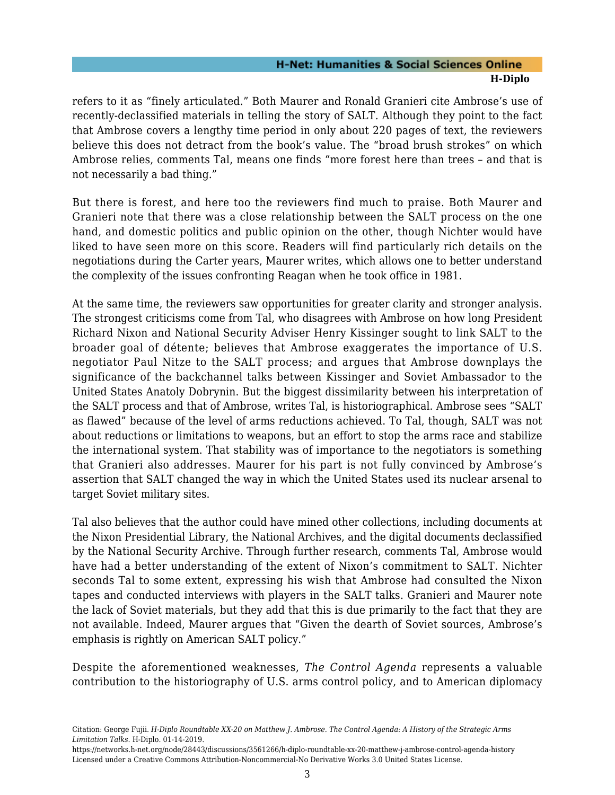refers to it as "finely articulated." Both Maurer and Ronald Granieri cite Ambrose's use of recently-declassified materials in telling the story of SALT. Although they point to the fact that Ambrose covers a lengthy time period in only about 220 pages of text, the reviewers believe this does not detract from the book's value. The "broad brush strokes" on which Ambrose relies, comments Tal, means one finds "more forest here than trees – and that is not necessarily a bad thing."

But there is forest, and here too the reviewers find much to praise. Both Maurer and Granieri note that there was a close relationship between the SALT process on the one hand, and domestic politics and public opinion on the other, though Nichter would have liked to have seen more on this score. Readers will find particularly rich details on the negotiations during the Carter years, Maurer writes, which allows one to better understand the complexity of the issues confronting Reagan when he took office in 1981.

At the same time, the reviewers saw opportunities for greater clarity and stronger analysis. The strongest criticisms come from Tal, who disagrees with Ambrose on how long President Richard Nixon and National Security Adviser Henry Kissinger sought to link SALT to the broader goal of détente; believes that Ambrose exaggerates the importance of U.S. negotiator Paul Nitze to the SALT process; and argues that Ambrose downplays the significance of the backchannel talks between Kissinger and Soviet Ambassador to the United States Anatoly Dobrynin. But the biggest dissimilarity between his interpretation of the SALT process and that of Ambrose, writes Tal, is historiographical. Ambrose sees "SALT as flawed" because of the level of arms reductions achieved. To Tal, though, SALT was not about reductions or limitations to weapons, but an effort to stop the arms race and stabilize the international system. That stability was of importance to the negotiators is something that Granieri also addresses. Maurer for his part is not fully convinced by Ambrose's assertion that SALT changed the way in which the United States used its nuclear arsenal to target Soviet military sites.

Tal also believes that the author could have mined other collections, including documents at the Nixon Presidential Library, the National Archives, and the digital documents declassified by the National Security Archive. Through further research, comments Tal, Ambrose would have had a better understanding of the extent of Nixon's commitment to SALT. Nichter seconds Tal to some extent, expressing his wish that Ambrose had consulted the Nixon tapes and conducted interviews with players in the SALT talks. Granieri and Maurer note the lack of Soviet materials, but they add that this is due primarily to the fact that they are not available. Indeed, Maurer argues that "Given the dearth of Soviet sources, Ambrose's emphasis is rightly on American SALT policy."

Despite the aforementioned weaknesses, *The Control Agenda* represents a valuable contribution to the historiography of U.S. arms control policy, and to American diplomacy

Citation: George Fujii. *H-Diplo Roundtable XX-20 on Matthew J. Ambrose. The Control Agenda: A History of the Strategic Arms Limitation Talks*. H-Diplo. 01-14-2019.

https://networks.h-net.org/node/28443/discussions/3561266/h-diplo-roundtable-xx-20-matthew-j-ambrose-control-agenda-history Licensed under a Creative Commons Attribution-Noncommercial-No Derivative Works 3.0 United States License.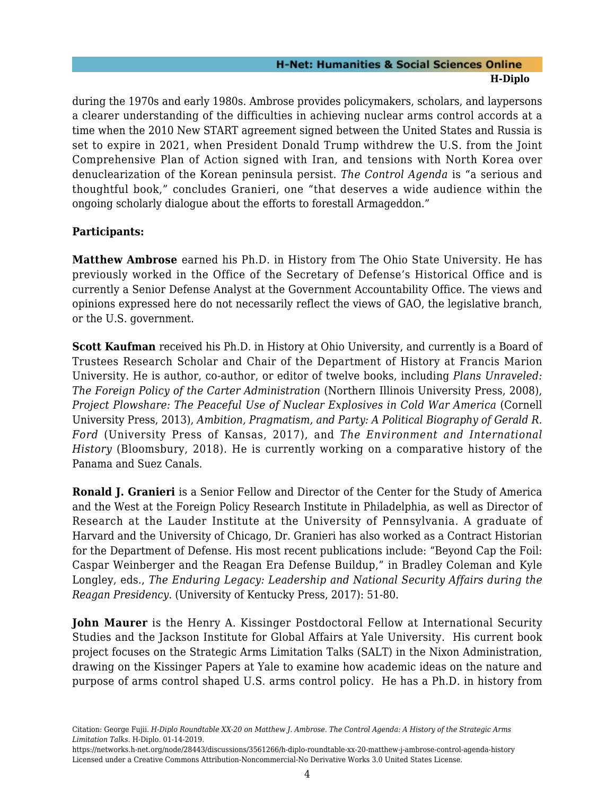during the 1970s and early 1980s. Ambrose provides policymakers, scholars, and laypersons a clearer understanding of the difficulties in achieving nuclear arms control accords at a time when the 2010 New START agreement signed between the United States and Russia is set to expire in 2021, when President Donald Trump withdrew the U.S. from the Joint Comprehensive Plan of Action signed with Iran, and tensions with North Korea over denuclearization of the Korean peninsula persist. *The Control Agenda* is "a serious and thoughtful book," concludes Granieri, one "that deserves a wide audience within the ongoing scholarly dialogue about the efforts to forestall Armageddon."

#### **Participants:**

**Matthew Ambrose** earned his Ph.D. in History from The Ohio State University. He has previously worked in the Office of the Secretary of Defense's Historical Office and is currently a Senior Defense Analyst at the Government Accountability Office. The views and opinions expressed here do not necessarily reflect the views of GAO, the legislative branch, or the U.S. government.

**Scott Kaufman** received his Ph.D. in History at Ohio University, and currently is a Board of Trustees Research Scholar and Chair of the Department of History at Francis Marion University. He is author, co-author, or editor of twelve books, including *Plans Unraveled: The Foreign Policy of the Carter Administration* (Northern Illinois University Press, 2008), *Project Plowshare: The Peaceful Use of Nuclear Explosives in Cold War America* (Cornell University Press, 2013), *Ambition, Pragmatism, and Party: A Political Biography of Gerald R. Ford* (University Press of Kansas, 2017), and *The Environment and International History* (Bloomsbury, 2018). He is currently working on a comparative history of the Panama and Suez Canals.

**Ronald J. Granieri** is a Senior Fellow and Director of the Center for the Study of America and the West at the Foreign Policy Research Institute in Philadelphia, as well as Director of Research at the Lauder Institute at the University of Pennsylvania. A graduate of Harvard and the University of Chicago, Dr. Granieri has also worked as a Contract Historian for the Department of Defense. His most recent publications include: "Beyond Cap the Foil: Caspar Weinberger and the Reagan Era Defense Buildup," in Bradley Coleman and Kyle Longley, eds., *The Enduring Legacy: Leadership and National Security Affairs during the Reagan Presidency*. (University of Kentucky Press, 2017): 51-80.

**John Maurer** is the Henry A. Kissinger Postdoctoral Fellow at International Security Studies and the Jackson Institute for Global Affairs at Yale University. His current book project focuses on the Strategic Arms Limitation Talks (SALT) in the Nixon Administration, drawing on the Kissinger Papers at Yale to examine how academic ideas on the nature and purpose of arms control shaped U.S. arms control policy. He has a Ph.D. in history from

Citation: George Fujii. *H-Diplo Roundtable XX-20 on Matthew J. Ambrose. The Control Agenda: A History of the Strategic Arms Limitation Talks*. H-Diplo. 01-14-2019.

https://networks.h-net.org/node/28443/discussions/3561266/h-diplo-roundtable-xx-20-matthew-j-ambrose-control-agenda-history Licensed under a Creative Commons Attribution-Noncommercial-No Derivative Works 3.0 United States License.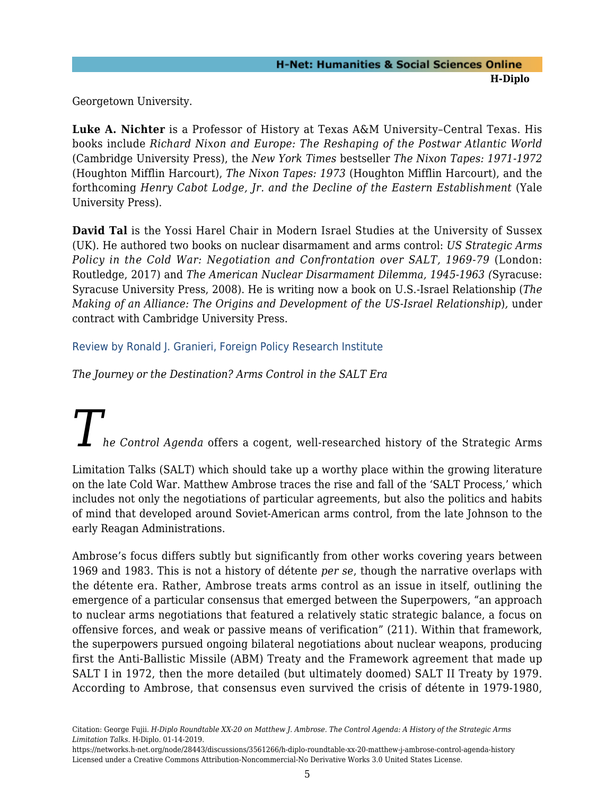Georgetown University.

**Luke A. Nichter** is a Professor of History at Texas A&M University–Central Texas. His books include *Richard Nixon and Europe: The Reshaping of the Postwar Atlantic World* (Cambridge University Press), the *New York Times* bestseller *The Nixon Tapes: 1971-1972* (Houghton Mifflin Harcourt), *The Nixon Tapes: 1973* (Houghton Mifflin Harcourt), and the forthcoming *Henry Cabot Lodge, Jr. and the Decline of the Eastern Establishment* (Yale University Press).

**David Tal** is the Yossi Harel Chair in Modern Israel Studies at the University of Sussex (UK). He authored two books on nuclear disarmament and arms control: *US Strategic Arms Policy in the Cold War: Negotiation and Confrontation over SALT, 1969-79* (London: Routledge, 2017) and *The American Nuclear Disarmament Dilemma, 1945-1963 (*Syracuse: Syracuse University Press, 2008). He is writing now a book on U.S.-Israel Relationship (*The Making of an Alliance: The Origins and Development of the US-Israel Relationship*)*,* under contract with Cambridge University Press.

<span id="page-6-0"></span>Review by Ronald J. Granieri, Foreign Policy Research Institute

*The Journey or the Destination? Arms Control in the SALT Era*

# *he Control Agenda* offers a cogent, well-researched history of the Strategic Arms

Limitation Talks (SALT) which should take up a worthy place within the growing literature on the late Cold War. Matthew Ambrose traces the rise and fall of the 'SALT Process,' which includes not only the negotiations of particular agreements, but also the politics and habits of mind that developed around Soviet-American arms control, from the late Johnson to the early Reagan Administrations.

Ambrose's focus differs subtly but significantly from other works covering years between 1969 and 1983. This is not a history of détente *per se*, though the narrative overlaps with the détente era. Rather, Ambrose treats arms control as an issue in itself, outlining the emergence of a particular consensus that emerged between the Superpowers, "an approach to nuclear arms negotiations that featured a relatively static strategic balance, a focus on offensive forces, and weak or passive means of verification" (211). Within that framework, the superpowers pursued ongoing bilateral negotiations about nuclear weapons, producing first the Anti-Ballistic Missile (ABM) Treaty and the Framework agreement that made up SALT I in 1972, then the more detailed (but ultimately doomed) SALT II Treaty by 1979. According to Ambrose, that consensus even survived the crisis of détente in 1979-1980,

https://networks.h-net.org/node/28443/discussions/3561266/h-diplo-roundtable-xx-20-matthew-j-ambrose-control-agenda-history Licensed under a Creative Commons Attribution-Noncommercial-No Derivative Works 3.0 United States License.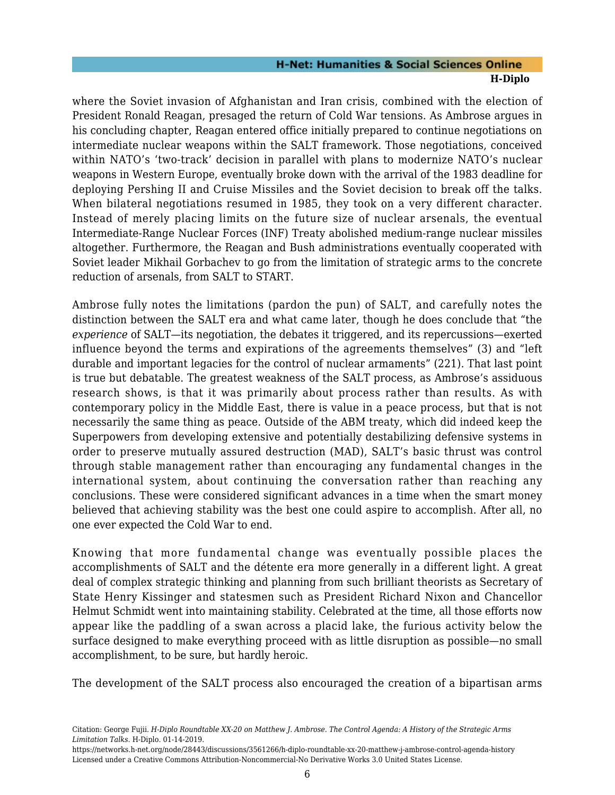where the Soviet invasion of Afghanistan and Iran crisis, combined with the election of President Ronald Reagan, presaged the return of Cold War tensions. As Ambrose argues in his concluding chapter, Reagan entered office initially prepared to continue negotiations on intermediate nuclear weapons within the SALT framework. Those negotiations, conceived within NATO's 'two-track' decision in parallel with plans to modernize NATO's nuclear weapons in Western Europe, eventually broke down with the arrival of the 1983 deadline for deploying Pershing II and Cruise Missiles and the Soviet decision to break off the talks. When bilateral negotiations resumed in 1985, they took on a very different character. Instead of merely placing limits on the future size of nuclear arsenals, the eventual Intermediate-Range Nuclear Forces (INF) Treaty abolished medium-range nuclear missiles altogether. Furthermore, the Reagan and Bush administrations eventually cooperated with Soviet leader Mikhail Gorbachev to go from the limitation of strategic arms to the concrete reduction of arsenals, from SALT to START.

Ambrose fully notes the limitations (pardon the pun) of SALT, and carefully notes the distinction between the SALT era and what came later, though he does conclude that "the *experience* of SALT—its negotiation, the debates it triggered, and its repercussions—exerted influence beyond the terms and expirations of the agreements themselves" (3) and "left durable and important legacies for the control of nuclear armaments" (221). That last point is true but debatable. The greatest weakness of the SALT process, as Ambrose's assiduous research shows, is that it was primarily about process rather than results. As with contemporary policy in the Middle East, there is value in a peace process, but that is not necessarily the same thing as peace. Outside of the ABM treaty, which did indeed keep the Superpowers from developing extensive and potentially destabilizing defensive systems in order to preserve mutually assured destruction (MAD), SALT's basic thrust was control through stable management rather than encouraging any fundamental changes in the international system, about continuing the conversation rather than reaching any conclusions. These were considered significant advances in a time when the smart money believed that achieving stability was the best one could aspire to accomplish. After all, no one ever expected the Cold War to end.

Knowing that more fundamental change was eventually possible places the accomplishments of SALT and the détente era more generally in a different light. A great deal of complex strategic thinking and planning from such brilliant theorists as Secretary of State Henry Kissinger and statesmen such as President Richard Nixon and Chancellor Helmut Schmidt went into maintaining stability. Celebrated at the time, all those efforts now appear like the paddling of a swan across a placid lake, the furious activity below the surface designed to make everything proceed with as little disruption as possible—no small accomplishment, to be sure, but hardly heroic.

The development of the SALT process also encouraged the creation of a bipartisan arms

Citation: George Fujii. *H-Diplo Roundtable XX-20 on Matthew J. Ambrose. The Control Agenda: A History of the Strategic Arms Limitation Talks*. H-Diplo. 01-14-2019.

https://networks.h-net.org/node/28443/discussions/3561266/h-diplo-roundtable-xx-20-matthew-j-ambrose-control-agenda-history Licensed under a Creative Commons Attribution-Noncommercial-No Derivative Works 3.0 United States License.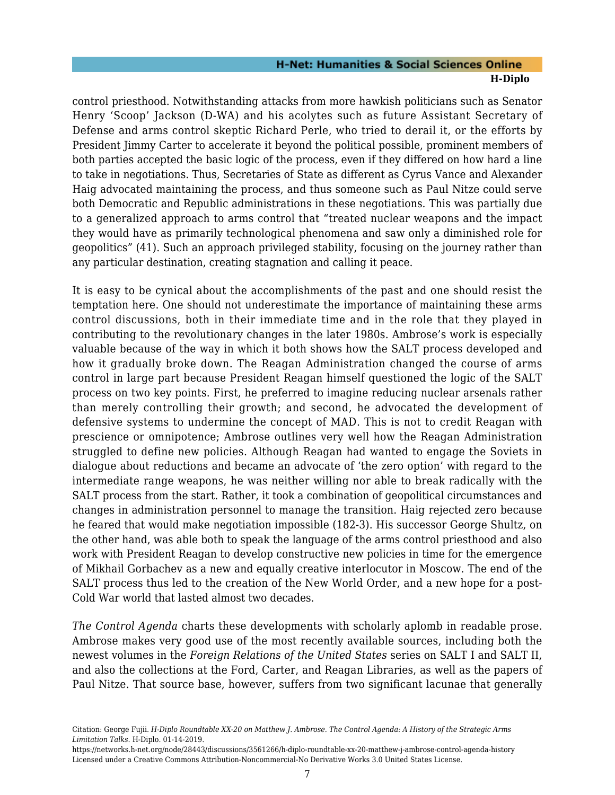control priesthood. Notwithstanding attacks from more hawkish politicians such as Senator Henry 'Scoop' Jackson (D-WA) and his acolytes such as future Assistant Secretary of Defense and arms control skeptic Richard Perle, who tried to derail it, or the efforts by President Jimmy Carter to accelerate it beyond the political possible, prominent members of both parties accepted the basic logic of the process, even if they differed on how hard a line to take in negotiations. Thus, Secretaries of State as different as Cyrus Vance and Alexander Haig advocated maintaining the process, and thus someone such as Paul Nitze could serve both Democratic and Republic administrations in these negotiations. This was partially due to a generalized approach to arms control that "treated nuclear weapons and the impact they would have as primarily technological phenomena and saw only a diminished role for geopolitics" (41). Such an approach privileged stability, focusing on the journey rather than any particular destination, creating stagnation and calling it peace.

It is easy to be cynical about the accomplishments of the past and one should resist the temptation here. One should not underestimate the importance of maintaining these arms control discussions, both in their immediate time and in the role that they played in contributing to the revolutionary changes in the later 1980s. Ambrose's work is especially valuable because of the way in which it both shows how the SALT process developed and how it gradually broke down. The Reagan Administration changed the course of arms control in large part because President Reagan himself questioned the logic of the SALT process on two key points. First, he preferred to imagine reducing nuclear arsenals rather than merely controlling their growth; and second, he advocated the development of defensive systems to undermine the concept of MAD. This is not to credit Reagan with prescience or omnipotence; Ambrose outlines very well how the Reagan Administration struggled to define new policies. Although Reagan had wanted to engage the Soviets in dialogue about reductions and became an advocate of 'the zero option' with regard to the intermediate range weapons, he was neither willing nor able to break radically with the SALT process from the start. Rather, it took a combination of geopolitical circumstances and changes in administration personnel to manage the transition. Haig rejected zero because he feared that would make negotiation impossible (182-3). His successor George Shultz, on the other hand, was able both to speak the language of the arms control priesthood and also work with President Reagan to develop constructive new policies in time for the emergence of Mikhail Gorbachev as a new and equally creative interlocutor in Moscow. The end of the SALT process thus led to the creation of the New World Order, and a new hope for a post-Cold War world that lasted almost two decades.

*The Control Agenda* charts these developments with scholarly aplomb in readable prose. Ambrose makes very good use of the most recently available sources, including both the newest volumes in the *Foreign Relations of the United States* series on SALT I and SALT II, and also the collections at the Ford, Carter, and Reagan Libraries, as well as the papers of Paul Nitze. That source base, however, suffers from two significant lacunae that generally

Citation: George Fujii. *H-Diplo Roundtable XX-20 on Matthew J. Ambrose. The Control Agenda: A History of the Strategic Arms Limitation Talks*. H-Diplo. 01-14-2019.

https://networks.h-net.org/node/28443/discussions/3561266/h-diplo-roundtable-xx-20-matthew-j-ambrose-control-agenda-history Licensed under a Creative Commons Attribution-Noncommercial-No Derivative Works 3.0 United States License.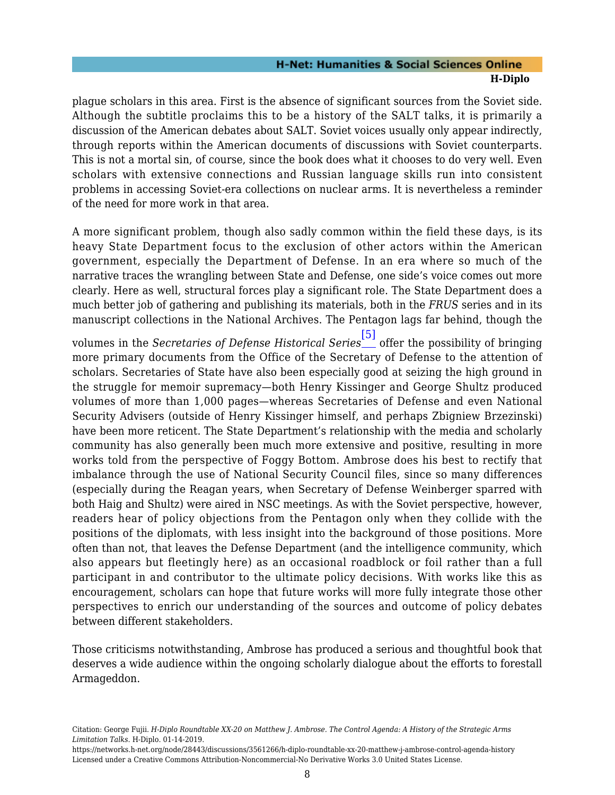plague scholars in this area. First is the absence of significant sources from the Soviet side. Although the subtitle proclaims this to be a history of the SALT talks, it is primarily a discussion of the American debates about SALT. Soviet voices usually only appear indirectly, through reports within the American documents of discussions with Soviet counterparts. This is not a mortal sin, of course, since the book does what it chooses to do very well. Even scholars with extensive connections and Russian language skills run into consistent problems in accessing Soviet-era collections on nuclear arms. It is nevertheless a reminder of the need for more work in that area.

A more significant problem, though also sadly common within the field these days, is its heavy State Department focus to the exclusion of other actors within the American government, especially the Department of Defense. In an era where so much of the narrative traces the wrangling between State and Defense, one side's voice comes out more clearly. Here as well, structural forces play a significant role. The State Department does a much better job of gathering and publishing its materials, both in the *FRUS* series and in its manuscript collections in the National Archives. The Pentagon lags far behind, though the

<span id="page-9-0"></span>volumes in the *Secretaries of Defense Historical Series* [\[5\]](#page-27-1) offer the possibility of bringing more primary documents from the Office of the Secretary of Defense to the attention of scholars. Secretaries of State have also been especially good at seizing the high ground in the struggle for memoir supremacy—both Henry Kissinger and George Shultz produced volumes of more than 1,000 pages—whereas Secretaries of Defense and even National Security Advisers (outside of Henry Kissinger himself, and perhaps Zbigniew Brzezinski) have been more reticent. The State Department's relationship with the media and scholarly community has also generally been much more extensive and positive, resulting in more works told from the perspective of Foggy Bottom. Ambrose does his best to rectify that imbalance through the use of National Security Council files, since so many differences (especially during the Reagan years, when Secretary of Defense Weinberger sparred with both Haig and Shultz) were aired in NSC meetings. As with the Soviet perspective, however, readers hear of policy objections from the Pentagon only when they collide with the positions of the diplomats, with less insight into the background of those positions. More often than not, that leaves the Defense Department (and the intelligence community, which also appears but fleetingly here) as an occasional roadblock or foil rather than a full participant in and contributor to the ultimate policy decisions. With works like this as encouragement, scholars can hope that future works will more fully integrate those other perspectives to enrich our understanding of the sources and outcome of policy debates between different stakeholders.

Those criticisms notwithstanding, Ambrose has produced a serious and thoughtful book that deserves a wide audience within the ongoing scholarly dialogue about the efforts to forestall Armageddon.

Citation: George Fujii. *H-Diplo Roundtable XX-20 on Matthew J. Ambrose. The Control Agenda: A History of the Strategic Arms Limitation Talks*. H-Diplo. 01-14-2019.

https://networks.h-net.org/node/28443/discussions/3561266/h-diplo-roundtable-xx-20-matthew-j-ambrose-control-agenda-history Licensed under a Creative Commons Attribution-Noncommercial-No Derivative Works 3.0 United States License.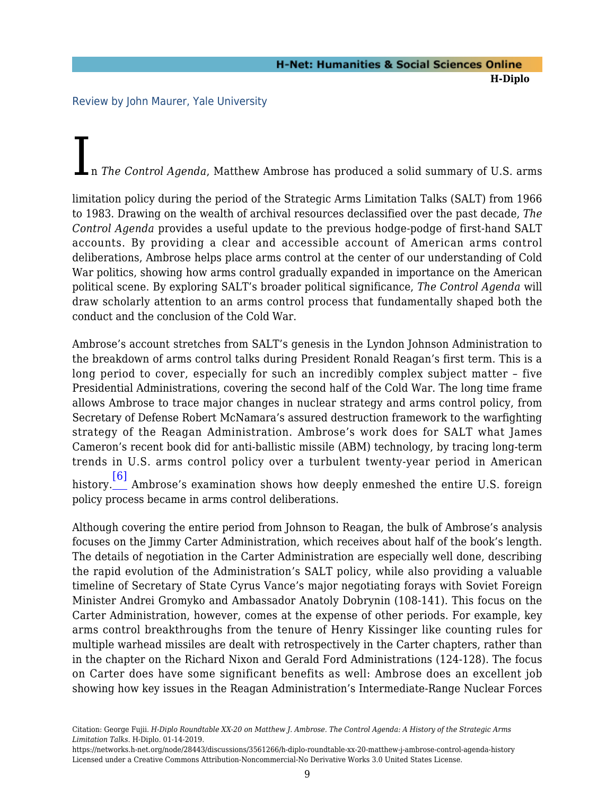<span id="page-10-0"></span>Review by John Maurer, Yale University

In *The Control Agenda*, Matthew Ambrose has produced a solid summary of U.S. arms<br>
— West There 1966

limitation policy during the period of the Strategic Arms Limitation Talks (SALT) from 1966 to 1983. Drawing on the wealth of archival resources declassified over the past decade, *The Control Agenda* provides a useful update to the previous hodge-podge of first-hand SALT accounts. By providing a clear and accessible account of American arms control deliberations, Ambrose helps place arms control at the center of our understanding of Cold War politics, showing how arms control gradually expanded in importance on the American political scene. By exploring SALT's broader political significance, *The Control Agenda* will draw scholarly attention to an arms control process that fundamentally shaped both the conduct and the conclusion of the Cold War.

Ambrose's account stretches from SALT's genesis in the Lyndon Johnson Administration to the breakdown of arms control talks during President Ronald Reagan's first term. This is a long period to cover, especially for such an incredibly complex subject matter – five Presidential Administrations, covering the second half of the Cold War. The long time frame allows Ambrose to trace major changes in nuclear strategy and arms control policy, from Secretary of Defense Robert McNamara's assured destruction framework to the warfighting strategy of the Reagan Administration. Ambrose's work does for SALT what James Cameron's recent book did for anti-ballistic missile (ABM) technology, by tracing long-term trends in U.S. arms control policy over a turbulent twenty-year period in American [\[6\]](#page-27-2)

<span id="page-10-1"></span>history. Ambrose's examination shows how deeply enmeshed the entire U.S. foreign policy process became in arms control deliberations.

Although covering the entire period from Johnson to Reagan, the bulk of Ambrose's analysis focuses on the Jimmy Carter Administration, which receives about half of the book's length. The details of negotiation in the Carter Administration are especially well done, describing the rapid evolution of the Administration's SALT policy, while also providing a valuable timeline of Secretary of State Cyrus Vance's major negotiating forays with Soviet Foreign Minister Andrei Gromyko and Ambassador Anatoly Dobrynin (108-141). This focus on the Carter Administration, however, comes at the expense of other periods. For example, key arms control breakthroughs from the tenure of Henry Kissinger like counting rules for multiple warhead missiles are dealt with retrospectively in the Carter chapters, rather than in the chapter on the Richard Nixon and Gerald Ford Administrations (124-128). The focus on Carter does have some significant benefits as well: Ambrose does an excellent job showing how key issues in the Reagan Administration's Intermediate-Range Nuclear Forces

https://networks.h-net.org/node/28443/discussions/3561266/h-diplo-roundtable-xx-20-matthew-j-ambrose-control-agenda-history Licensed under a Creative Commons Attribution-Noncommercial-No Derivative Works 3.0 United States License.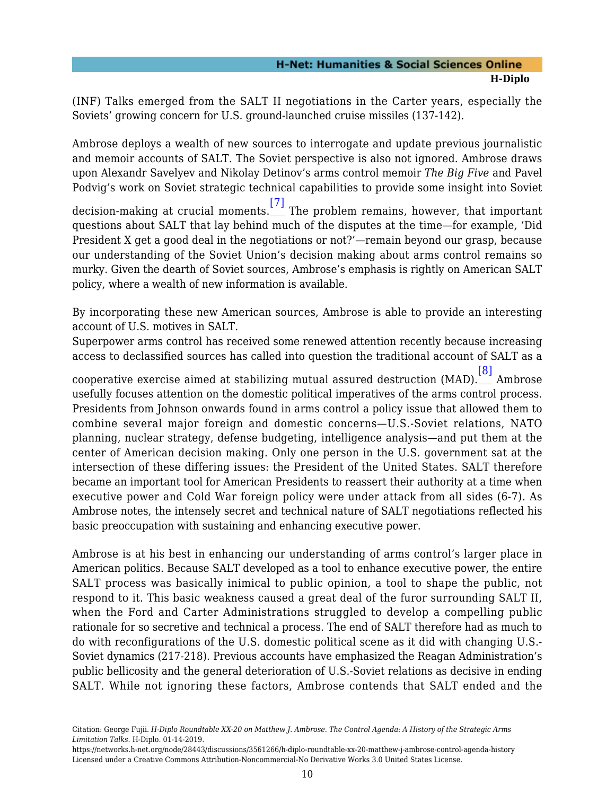(INF) Talks emerged from the SALT II negotiations in the Carter years, especially the Soviets' growing concern for U.S. ground-launched cruise missiles (137-142).

Ambrose deploys a wealth of new sources to interrogate and update previous journalistic and memoir accounts of SALT. The Soviet perspective is also not ignored. Ambrose draws upon Alexandr Savelyev and Nikolay Detinov's arms control memoir *The Big Five* and Pavel Podvig's work on Soviet strategic technical capabilities to provide some insight into Soviet

<span id="page-11-0"></span>decision-making at crucial moments. [\[7\]](#page-27-3) The problem remains, however, that important questions about SALT that lay behind much of the disputes at the time—for example, 'Did President X get a good deal in the negotiations or not?'—remain beyond our grasp, because our understanding of the Soviet Union's decision making about arms control remains so murky. Given the dearth of Soviet sources, Ambrose's emphasis is rightly on American SALT policy, where a wealth of new information is available.

By incorporating these new American sources, Ambrose is able to provide an interesting account of U.S. motives in SALT.

Superpower arms control has received some renewed attention recently because increasing access to declassified sources has called into question the traditional account of SALT as a

<span id="page-11-1"></span>cooperative exercise aimed at stabilizing mutual assured destruction (MAD). [\[8\]](#page-27-4) Ambrose usefully focuses attention on the domestic political imperatives of the arms control process. Presidents from Johnson onwards found in arms control a policy issue that allowed them to combine several major foreign and domestic concerns—U.S.-Soviet relations, NATO planning, nuclear strategy, defense budgeting, intelligence analysis—and put them at the center of American decision making. Only one person in the U.S. government sat at the intersection of these differing issues: the President of the United States. SALT therefore became an important tool for American Presidents to reassert their authority at a time when executive power and Cold War foreign policy were under attack from all sides (6-7). As Ambrose notes, the intensely secret and technical nature of SALT negotiations reflected his basic preoccupation with sustaining and enhancing executive power.

Ambrose is at his best in enhancing our understanding of arms control's larger place in American politics. Because SALT developed as a tool to enhance executive power, the entire SALT process was basically inimical to public opinion, a tool to shape the public, not respond to it. This basic weakness caused a great deal of the furor surrounding SALT II, when the Ford and Carter Administrations struggled to develop a compelling public rationale for so secretive and technical a process. The end of SALT therefore had as much to do with reconfigurations of the U.S. domestic political scene as it did with changing U.S.- Soviet dynamics (217-218). Previous accounts have emphasized the Reagan Administration's public bellicosity and the general deterioration of U.S.-Soviet relations as decisive in ending SALT. While not ignoring these factors, Ambrose contends that SALT ended and the

Citation: George Fujii. *H-Diplo Roundtable XX-20 on Matthew J. Ambrose. The Control Agenda: A History of the Strategic Arms Limitation Talks*. H-Diplo. 01-14-2019.

https://networks.h-net.org/node/28443/discussions/3561266/h-diplo-roundtable-xx-20-matthew-j-ambrose-control-agenda-history Licensed under a Creative Commons Attribution-Noncommercial-No Derivative Works 3.0 United States License.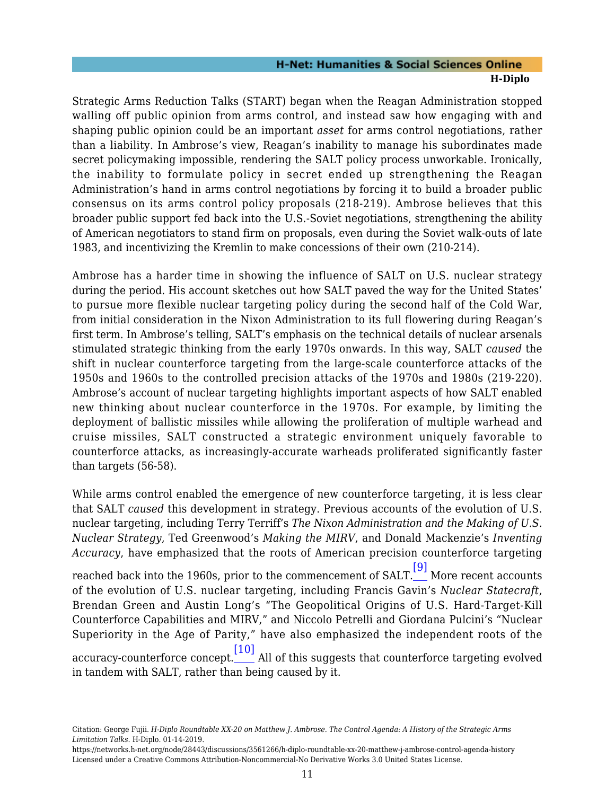Strategic Arms Reduction Talks (START) began when the Reagan Administration stopped walling off public opinion from arms control, and instead saw how engaging with and shaping public opinion could be an important *asset* for arms control negotiations, rather than a liability. In Ambrose's view, Reagan's inability to manage his subordinates made secret policymaking impossible, rendering the SALT policy process unworkable. Ironically, the inability to formulate policy in secret ended up strengthening the Reagan Administration's hand in arms control negotiations by forcing it to build a broader public consensus on its arms control policy proposals (218-219). Ambrose believes that this broader public support fed back into the U.S.-Soviet negotiations, strengthening the ability of American negotiators to stand firm on proposals, even during the Soviet walk-outs of late 1983, and incentivizing the Kremlin to make concessions of their own (210-214).

Ambrose has a harder time in showing the influence of SALT on U.S. nuclear strategy during the period. His account sketches out how SALT paved the way for the United States' to pursue more flexible nuclear targeting policy during the second half of the Cold War, from initial consideration in the Nixon Administration to its full flowering during Reagan's first term. In Ambrose's telling, SALT's emphasis on the technical details of nuclear arsenals stimulated strategic thinking from the early 1970s onwards. In this way, SALT *caused* the shift in nuclear counterforce targeting from the large-scale counterforce attacks of the 1950s and 1960s to the controlled precision attacks of the 1970s and 1980s (219-220). Ambrose's account of nuclear targeting highlights important aspects of how SALT enabled new thinking about nuclear counterforce in the 1970s. For example, by limiting the deployment of ballistic missiles while allowing the proliferation of multiple warhead and cruise missiles, SALT constructed a strategic environment uniquely favorable to counterforce attacks, as increasingly-accurate warheads proliferated significantly faster than targets (56-58).

<span id="page-12-0"></span>While arms control enabled the emergence of new counterforce targeting, it is less clear that SALT *caused* this development in strategy. Previous accounts of the evolution of U.S. nuclear targeting, including Terry Terriff's *The Nixon Administration and the Making of U.S. Nuclear Strategy*, Ted Greenwood's *Making the MIRV*, and Donald Mackenzie's *Inventing Accuracy*, have emphasized that the roots of American precision counterforce targeting reached back into the 1960s, prior to the commencement of SALT. [\[9\]](#page-27-5) More recent accounts of the evolution of U.S. nuclear targeting, including Francis Gavin's *Nuclear Statecraft*, Brendan Green and Austin Long's "The Geopolitical Origins of U.S. Hard-Target-Kill Counterforce Capabilities and MIRV," and Niccolo Petrelli and Giordana Pulcini's "Nuclear Superiority in the Age of Parity," have also emphasized the independent roots of the accuracy-counterforce concept. [\[10\]](#page-27-6) All of this suggests that counterforce targeting evolved in tandem with SALT, rather than being caused by it.

<span id="page-12-1"></span>Citation: George Fujii. *H-Diplo Roundtable XX-20 on Matthew J. Ambrose. The Control Agenda: A History of the Strategic Arms Limitation Talks*. H-Diplo. 01-14-2019.

https://networks.h-net.org/node/28443/discussions/3561266/h-diplo-roundtable-xx-20-matthew-j-ambrose-control-agenda-history Licensed under a Creative Commons Attribution-Noncommercial-No Derivative Works 3.0 United States License.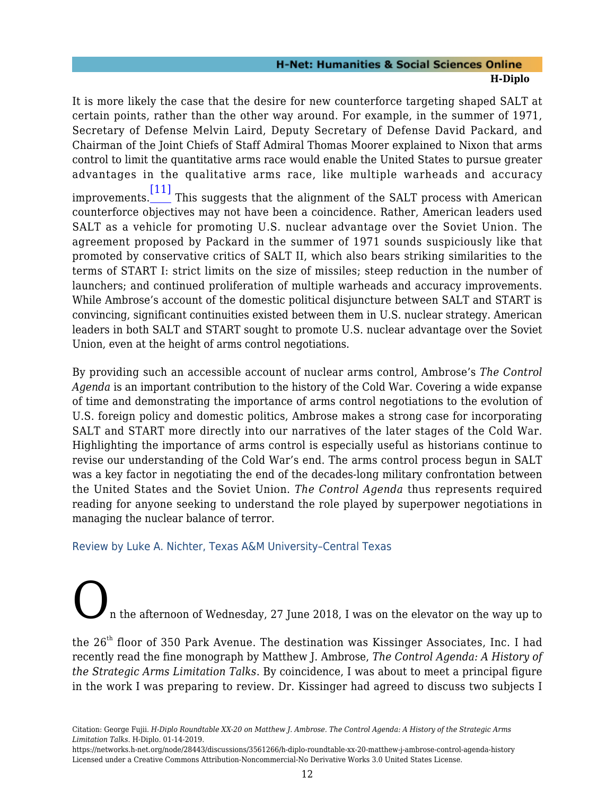<span id="page-13-1"></span>It is more likely the case that the desire for new counterforce targeting shaped SALT at certain points, rather than the other way around. For example, in the summer of 1971, Secretary of Defense Melvin Laird, Deputy Secretary of Defense David Packard, and Chairman of the Joint Chiefs of Staff Admiral Thomas Moorer explained to Nixon that arms control to limit the quantitative arms race would enable the United States to pursue greater advantages in the qualitative arms race, like multiple warheads and accuracy improvements. [\[11\]](#page-27-7) This suggests that the alignment of the SALT process with American counterforce objectives may not have been a coincidence. Rather, American leaders used SALT as a vehicle for promoting U.S. nuclear advantage over the Soviet Union. The agreement proposed by Packard in the summer of 1971 sounds suspiciously like that promoted by conservative critics of SALT II, which also bears striking similarities to the terms of START I: strict limits on the size of missiles; steep reduction in the number of launchers; and continued proliferation of multiple warheads and accuracy improvements. While Ambrose's account of the domestic political disjuncture between SALT and START is convincing, significant continuities existed between them in U.S. nuclear strategy. American leaders in both SALT and START sought to promote U.S. nuclear advantage over the Soviet Union, even at the height of arms control negotiations.

By providing such an accessible account of nuclear arms control, Ambrose's *The Control Agenda* is an important contribution to the history of the Cold War. Covering a wide expanse of time and demonstrating the importance of arms control negotiations to the evolution of U.S. foreign policy and domestic politics, Ambrose makes a strong case for incorporating SALT and START more directly into our narratives of the later stages of the Cold War. Highlighting the importance of arms control is especially useful as historians continue to revise our understanding of the Cold War's end. The arms control process begun in SALT was a key factor in negotiating the end of the decades-long military confrontation between the United States and the Soviet Union. *The Control Agenda* thus represents required reading for anyone seeking to understand the role played by superpower negotiations in managing the nuclear balance of terror.

#### <span id="page-13-0"></span>Review by Luke A. Nichter, Texas A&M University–Central Texas

n the afternoon of Wednesday, 27 June 2018, I was on the elevator on the way up to

the 26<sup>th</sup> floor of 350 Park Avenue. The destination was Kissinger Associates, Inc. I had recently read the fine monograph by Matthew J. Ambrose, *The Control Agenda: A History of the Strategic Arms Limitation Talks*. By coincidence, I was about to meet a principal figure in the work I was preparing to review. Dr. Kissinger had agreed to discuss two subjects I

https://networks.h-net.org/node/28443/discussions/3561266/h-diplo-roundtable-xx-20-matthew-j-ambrose-control-agenda-history Licensed under a Creative Commons Attribution-Noncommercial-No Derivative Works 3.0 United States License.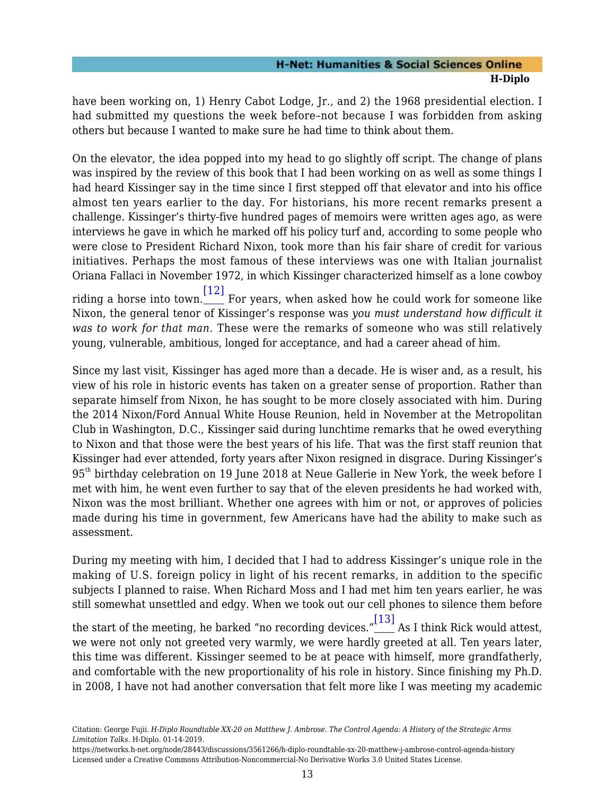have been working on, 1) Henry Cabot Lodge, Jr., and 2) the 1968 presidential election. I had submitted my questions the week before–not because I was forbidden from asking others but because I wanted to make sure he had time to think about them.

On the elevator, the idea popped into my head to go slightly off script. The change of plans was inspired by the review of this book that I had been working on as well as some things I had heard Kissinger say in the time since I first stepped off that elevator and into his office almost ten years earlier to the day. For historians, his more recent remarks present a challenge. Kissinger's thirty-five hundred pages of memoirs were written ages ago, as were interviews he gave in which he marked off his policy turf and, according to some people who were close to President Richard Nixon, took more than his fair share of credit for various initiatives. Perhaps the most famous of these interviews was one with Italian journalist Oriana Fallaci in November 1972, in which Kissinger characterized himself as a lone cowboy riding a horse into town. [\[12\]](#page-28-0) For years, when asked how he could work for someone like Nixon, the general tenor of Kissinger's response was *you must understand how difficult it was to work for that man*. These were the remarks of someone who was still relatively young, vulnerable, ambitious, longed for acceptance, and had a career ahead of him.

<span id="page-14-0"></span>Since my last visit, Kissinger has aged more than a decade. He is wiser and, as a result, his view of his role in historic events has taken on a greater sense of proportion. Rather than separate himself from Nixon, he has sought to be more closely associated with him. During the 2014 Nixon/Ford Annual White House Reunion, held in November at the Metropolitan Club in Washington, D.C., Kissinger said during lunchtime remarks that he owed everything to Nixon and that those were the best years of his life. That was the first staff reunion that Kissinger had ever attended, forty years after Nixon resigned in disgrace. During Kissinger's 95th birthday celebration on 19 June 2018 at Neue Gallerie in New York, the week before I met with him, he went even further to say that of the eleven presidents he had worked with, Nixon was the most brilliant. Whether one agrees with him or not, or approves of policies made during his time in government, few Americans have had the ability to make such as assessment.

During my meeting with him, I decided that I had to address Kissinger's unique role in the making of U.S. foreign policy in light of his recent remarks, in addition to the specific subjects I planned to raise. When Richard Moss and I had met him ten years earlier, he was still somewhat unsettled and edgy. When we took out our cell phones to silence them before

<span id="page-14-1"></span>the start of the meeting, he barked "no recording devices." [\[13\]](#page-28-1) As I think Rick would attest, we were not only not greeted very warmly, we were hardly greeted at all. Ten years later, this time was different. Kissinger seemed to be at peace with himself, more grandfatherly, and comfortable with the new proportionality of his role in history. Since finishing my Ph.D. in 2008, I have not had another conversation that felt more like I was meeting my academic

Citation: George Fujii. *H-Diplo Roundtable XX-20 on Matthew J. Ambrose. The Control Agenda: A History of the Strategic Arms Limitation Talks*. H-Diplo. 01-14-2019.

https://networks.h-net.org/node/28443/discussions/3561266/h-diplo-roundtable-xx-20-matthew-j-ambrose-control-agenda-history Licensed under a Creative Commons Attribution-Noncommercial-No Derivative Works 3.0 United States License.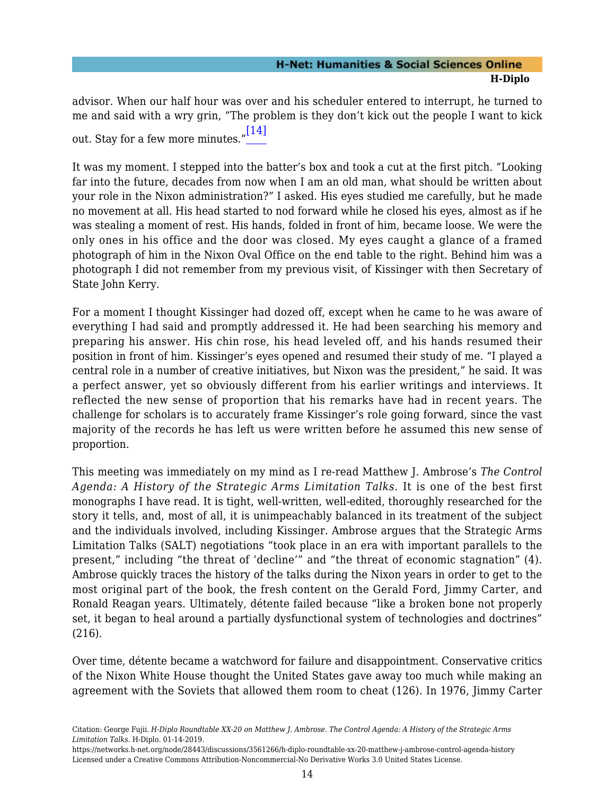<span id="page-15-0"></span>advisor. When our half hour was over and his scheduler entered to interrupt, he turned to me and said with a wry grin, "The problem is they don't kick out the people I want to kick out. Stay for a few more minutes." [\[14\]](#page-28-2)

It was my moment. I stepped into the batter's box and took a cut at the first pitch. "Looking far into the future, decades from now when I am an old man, what should be written about your role in the Nixon administration?" I asked. His eyes studied me carefully, but he made no movement at all. His head started to nod forward while he closed his eyes, almost as if he was stealing a moment of rest. His hands, folded in front of him, became loose. We were the only ones in his office and the door was closed. My eyes caught a glance of a framed photograph of him in the Nixon Oval Office on the end table to the right. Behind him was a photograph I did not remember from my previous visit, of Kissinger with then Secretary of State John Kerry.

For a moment I thought Kissinger had dozed off, except when he came to he was aware of everything I had said and promptly addressed it. He had been searching his memory and preparing his answer. His chin rose, his head leveled off, and his hands resumed their position in front of him. Kissinger's eyes opened and resumed their study of me. "I played a central role in a number of creative initiatives, but Nixon was the president," he said. It was a perfect answer, yet so obviously different from his earlier writings and interviews. It reflected the new sense of proportion that his remarks have had in recent years. The challenge for scholars is to accurately frame Kissinger's role going forward, since the vast majority of the records he has left us were written before he assumed this new sense of proportion.

This meeting was immediately on my mind as I re-read Matthew J. Ambrose's *The Control Agenda: A History of the Strategic Arms Limitation Talks.* It is one of the best first monographs I have read. It is tight, well-written, well-edited, thoroughly researched for the story it tells, and, most of all, it is unimpeachably balanced in its treatment of the subject and the individuals involved, including Kissinger. Ambrose argues that the Strategic Arms Limitation Talks (SALT) negotiations "took place in an era with important parallels to the present," including "the threat of 'decline'" and "the threat of economic stagnation" (4). Ambrose quickly traces the history of the talks during the Nixon years in order to get to the most original part of the book, the fresh content on the Gerald Ford, Jimmy Carter, and Ronald Reagan years. Ultimately, détente failed because "like a broken bone not properly set, it began to heal around a partially dysfunctional system of technologies and doctrines" (216).

Over time, détente became a watchword for failure and disappointment. Conservative critics of the Nixon White House thought the United States gave away too much while making an agreement with the Soviets that allowed them room to cheat (126). In 1976, Jimmy Carter

Citation: George Fujii. *H-Diplo Roundtable XX-20 on Matthew J. Ambrose. The Control Agenda: A History of the Strategic Arms Limitation Talks*. H-Diplo. 01-14-2019.

https://networks.h-net.org/node/28443/discussions/3561266/h-diplo-roundtable-xx-20-matthew-j-ambrose-control-agenda-history Licensed under a Creative Commons Attribution-Noncommercial-No Derivative Works 3.0 United States License.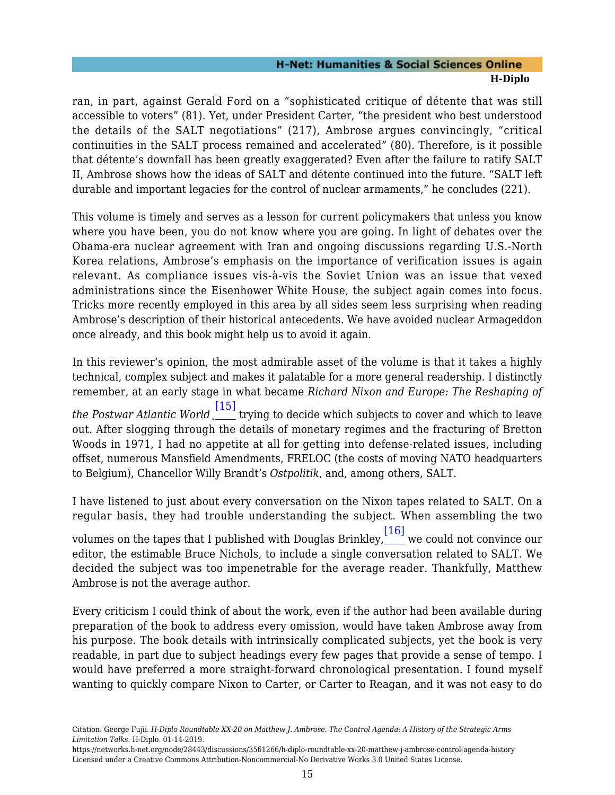ran, in part, against Gerald Ford on a "sophisticated critique of détente that was still accessible to voters" (81). Yet, under President Carter, "the president who best understood the details of the SALT negotiations" (217), Ambrose argues convincingly, "critical continuities in the SALT process remained and accelerated" (80). Therefore, is it possible that détente's downfall has been greatly exaggerated? Even after the failure to ratify SALT II, Ambrose shows how the ideas of SALT and détente continued into the future. "SALT left durable and important legacies for the control of nuclear armaments," he concludes (221).

This volume is timely and serves as a lesson for current policymakers that unless you know where you have been, you do not know where you are going. In light of debates over the Obama-era nuclear agreement with Iran and ongoing discussions regarding U.S.-North Korea relations, Ambrose's emphasis on the importance of verification issues is again relevant. As compliance issues vis-à-vis the Soviet Union was an issue that vexed administrations since the Eisenhower White House, the subject again comes into focus. Tricks more recently employed in this area by all sides seem less surprising when reading Ambrose's description of their historical antecedents. We have avoided nuclear Armageddon once already, and this book might help us to avoid it again.

<span id="page-16-0"></span>In this reviewer's opinion, the most admirable asset of the volume is that it takes a highly technical, complex subject and makes it palatable for a more general readership. I distinctly remember, at an early stage in what became *Richard Nixon and Europe: The Reshaping of the Postwar Atlantic World*¸ [\[15\]](#page-28-3) trying to decide which subjects to cover and which to leave out. After slogging through the details of monetary regimes and the fracturing of Bretton Woods in 1971, I had no appetite at all for getting into defense-related issues, including offset, numerous Mansfield Amendments, FRELOC (the costs of moving NATO headquarters to Belgium), Chancellor Willy Brandt's *Ostpolitik*, and, among others, SALT.

<span id="page-16-1"></span>I have listened to just about every conversation on the Nixon tapes related to SALT. On a regular basis, they had trouble understanding the subject. When assembling the two volumes on the tapes that I published with Douglas Brinkley, [\[16\]](#page-28-4) we could not convince our editor, the estimable Bruce Nichols, to include a single conversation related to SALT. We decided the subject was too impenetrable for the average reader. Thankfully, Matthew Ambrose is not the average author.

Every criticism I could think of about the work, even if the author had been available during preparation of the book to address every omission, would have taken Ambrose away from his purpose. The book details with intrinsically complicated subjects, yet the book is very readable, in part due to subject headings every few pages that provide a sense of tempo. I would have preferred a more straight-forward chronological presentation. I found myself wanting to quickly compare Nixon to Carter, or Carter to Reagan, and it was not easy to do

Citation: George Fujii. *H-Diplo Roundtable XX-20 on Matthew J. Ambrose. The Control Agenda: A History of the Strategic Arms Limitation Talks*. H-Diplo. 01-14-2019.

https://networks.h-net.org/node/28443/discussions/3561266/h-diplo-roundtable-xx-20-matthew-j-ambrose-control-agenda-history Licensed under a Creative Commons Attribution-Noncommercial-No Derivative Works 3.0 United States License.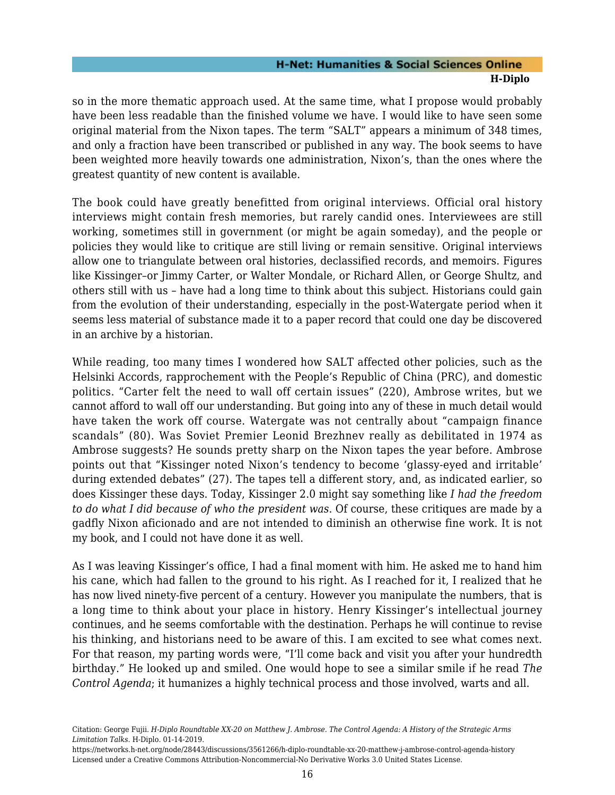so in the more thematic approach used. At the same time, what I propose would probably have been less readable than the finished volume we have. I would like to have seen some original material from the Nixon tapes. The term "SALT" appears a minimum of 348 times, and only a fraction have been transcribed or published in any way. The book seems to have been weighted more heavily towards one administration, Nixon's, than the ones where the greatest quantity of new content is available.

The book could have greatly benefitted from original interviews. Official oral history interviews might contain fresh memories, but rarely candid ones. Interviewees are still working, sometimes still in government (or might be again someday), and the people or policies they would like to critique are still living or remain sensitive. Original interviews allow one to triangulate between oral histories, declassified records, and memoirs. Figures like Kissinger–or Jimmy Carter, or Walter Mondale, or Richard Allen, or George Shultz, and others still with us – have had a long time to think about this subject. Historians could gain from the evolution of their understanding, especially in the post-Watergate period when it seems less material of substance made it to a paper record that could one day be discovered in an archive by a historian.

While reading, too many times I wondered how SALT affected other policies, such as the Helsinki Accords, rapprochement with the People's Republic of China (PRC), and domestic politics. "Carter felt the need to wall off certain issues" (220), Ambrose writes, but we cannot afford to wall off our understanding. But going into any of these in much detail would have taken the work off course. Watergate was not centrally about "campaign finance scandals" (80). Was Soviet Premier Leonid Brezhnev really as debilitated in 1974 as Ambrose suggests? He sounds pretty sharp on the Nixon tapes the year before. Ambrose points out that "Kissinger noted Nixon's tendency to become 'glassy-eyed and irritable' during extended debates" (27). The tapes tell a different story, and, as indicated earlier, so does Kissinger these days. Today, Kissinger 2.0 might say something like *I had the freedom to do what I did because of who the president was*. Of course, these critiques are made by a gadfly Nixon aficionado and are not intended to diminish an otherwise fine work. It is not my book, and I could not have done it as well.

As I was leaving Kissinger's office, I had a final moment with him. He asked me to hand him his cane, which had fallen to the ground to his right. As I reached for it, I realized that he has now lived ninety-five percent of a century. However you manipulate the numbers, that is a long time to think about your place in history. Henry Kissinger's intellectual journey continues, and he seems comfortable with the destination. Perhaps he will continue to revise his thinking, and historians need to be aware of this. I am excited to see what comes next. For that reason, my parting words were, "I'll come back and visit you after your hundredth birthday." He looked up and smiled. One would hope to see a similar smile if he read *The Control Agenda*; it humanizes a highly technical process and those involved, warts and all.

Citation: George Fujii. *H-Diplo Roundtable XX-20 on Matthew J. Ambrose. The Control Agenda: A History of the Strategic Arms Limitation Talks*. H-Diplo. 01-14-2019.

https://networks.h-net.org/node/28443/discussions/3561266/h-diplo-roundtable-xx-20-matthew-j-ambrose-control-agenda-history Licensed under a Creative Commons Attribution-Noncommercial-No Derivative Works 3.0 United States License.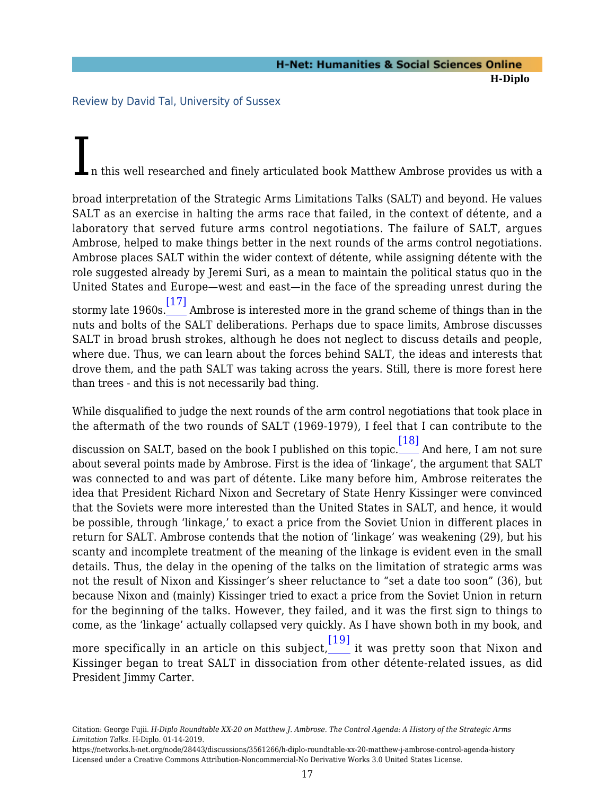<span id="page-18-0"></span>Review by David Tal, University of Sussex

<span id="page-18-1"></span>than trees - and this is not necessarily bad thing.

n this well researched and finely articulated book Matthew Ambrose provides us with a

broad interpretation of the Strategic Arms Limitations Talks (SALT) and beyond. He values SALT as an exercise in halting the arms race that failed, in the context of détente, and a laboratory that served future arms control negotiations. The failure of SALT, argues Ambrose, helped to make things better in the next rounds of the arms control negotiations. Ambrose places SALT within the wider context of détente, while assigning détente with the role suggested already by Jeremi Suri, as a mean to maintain the political status quo in the United States and Europe—west and east—in the face of the spreading unrest during the stormy late 1960s. [\[17\]](#page-28-5) Ambrose is interested more in the grand scheme of things than in the nuts and bolts of the SALT deliberations. Perhaps due to space limits, Ambrose discusses SALT in broad brush strokes, although he does not neglect to discuss details and people, where due. Thus, we can learn about the forces behind SALT, the ideas and interests that drove them, and the path SALT was taking across the years. Still, there is more forest here

While disqualified to judge the next rounds of the arm control negotiations that took place in the aftermath of the two rounds of SALT (1969-1979), I feel that I can contribute to the

<span id="page-18-2"></span>discussion on SALT, based on the book I published on this topic. [\[18\]](#page-28-6) And here, I am not sure about several points made by Ambrose. First is the idea of 'linkage', the argument that SALT was connected to and was part of détente. Like many before him, Ambrose reiterates the idea that President Richard Nixon and Secretary of State Henry Kissinger were convinced that the Soviets were more interested than the United States in SALT, and hence, it would be possible, through 'linkage,' to exact a price from the Soviet Union in different places in return for SALT. Ambrose contends that the notion of 'linkage' was weakening (29), but his scanty and incomplete treatment of the meaning of the linkage is evident even in the small details. Thus, the delay in the opening of the talks on the limitation of strategic arms was not the result of Nixon and Kissinger's sheer reluctance to "set a date too soon" (36), but because Nixon and (mainly) Kissinger tried to exact a price from the Soviet Union in return for the beginning of the talks. However, they failed, and it was the first sign to things to come, as the 'linkage' actually collapsed very quickly. As I have shown both in my book, and

<span id="page-18-3"></span>more specifically in an article on this subject, [\[19\]](#page-28-7) it was pretty soon that Nixon and Kissinger began to treat SALT in dissociation from other détente-related issues, as did President Jimmy Carter.

Citation: George Fujii. *H-Diplo Roundtable XX-20 on Matthew J. Ambrose. The Control Agenda: A History of the Strategic Arms Limitation Talks*. H-Diplo. 01-14-2019.

https://networks.h-net.org/node/28443/discussions/3561266/h-diplo-roundtable-xx-20-matthew-j-ambrose-control-agenda-history Licensed under a Creative Commons Attribution-Noncommercial-No Derivative Works 3.0 United States License.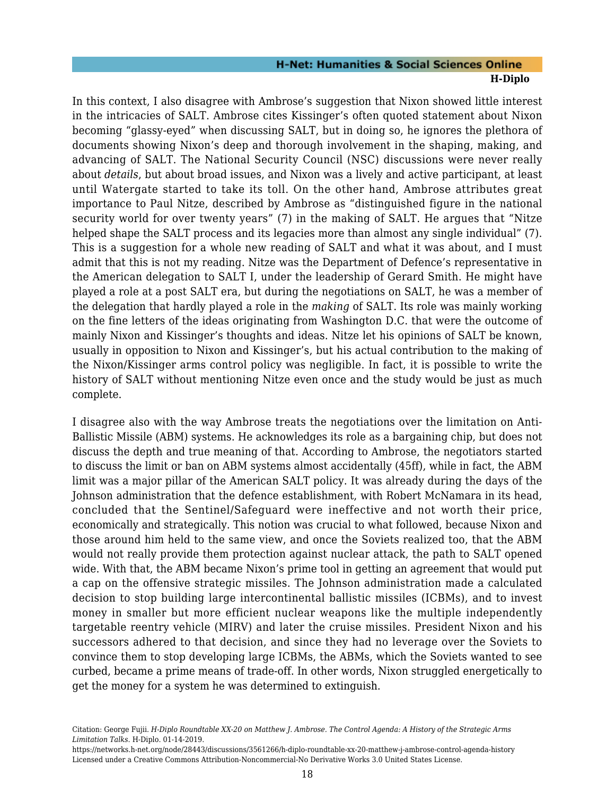In this context, I also disagree with Ambrose's suggestion that Nixon showed little interest in the intricacies of SALT. Ambrose cites Kissinger's often quoted statement about Nixon becoming "glassy-eyed" when discussing SALT, but in doing so, he ignores the plethora of documents showing Nixon's deep and thorough involvement in the shaping, making, and advancing of SALT. The National Security Council (NSC) discussions were never really about *details*, but about broad issues, and Nixon was a lively and active participant, at least until Watergate started to take its toll. On the other hand, Ambrose attributes great importance to Paul Nitze, described by Ambrose as "distinguished figure in the national security world for over twenty years" (7) in the making of SALT. He argues that "Nitze helped shape the SALT process and its legacies more than almost any single individual" (7). This is a suggestion for a whole new reading of SALT and what it was about, and I must admit that this is not my reading. Nitze was the Department of Defence's representative in the American delegation to SALT I, under the leadership of Gerard Smith. He might have played a role at a post SALT era, but during the negotiations on SALT, he was a member of the delegation that hardly played a role in the *making* of SALT. Its role was mainly working on the fine letters of the ideas originating from Washington D.C. that were the outcome of mainly Nixon and Kissinger's thoughts and ideas. Nitze let his opinions of SALT be known, usually in opposition to Nixon and Kissinger's, but his actual contribution to the making of the Nixon/Kissinger arms control policy was negligible. In fact, it is possible to write the history of SALT without mentioning Nitze even once and the study would be just as much complete.

I disagree also with the way Ambrose treats the negotiations over the limitation on Anti-Ballistic Missile (ABM) systems. He acknowledges its role as a bargaining chip, but does not discuss the depth and true meaning of that. According to Ambrose, the negotiators started to discuss the limit or ban on ABM systems almost accidentally (45ff), while in fact, the ABM limit was a major pillar of the American SALT policy. It was already during the days of the Johnson administration that the defence establishment, with Robert McNamara in its head, concluded that the Sentinel/Safeguard were ineffective and not worth their price, economically and strategically. This notion was crucial to what followed, because Nixon and those around him held to the same view, and once the Soviets realized too, that the ABM would not really provide them protection against nuclear attack, the path to SALT opened wide. With that, the ABM became Nixon's prime tool in getting an agreement that would put a cap on the offensive strategic missiles. The Johnson administration made a calculated decision to stop building large intercontinental ballistic missiles (ICBMs), and to invest money in smaller but more efficient nuclear weapons like the multiple independently targetable reentry vehicle (MIRV) and later the cruise missiles. President Nixon and his successors adhered to that decision, and since they had no leverage over the Soviets to convince them to stop developing large ICBMs, the ABMs, which the Soviets wanted to see curbed, became a prime means of trade-off. In other words, Nixon struggled energetically to get the money for a system he was determined to extinguish.

Citation: George Fujii. *H-Diplo Roundtable XX-20 on Matthew J. Ambrose. The Control Agenda: A History of the Strategic Arms Limitation Talks*. H-Diplo. 01-14-2019.

https://networks.h-net.org/node/28443/discussions/3561266/h-diplo-roundtable-xx-20-matthew-j-ambrose-control-agenda-history Licensed under a Creative Commons Attribution-Noncommercial-No Derivative Works 3.0 United States License.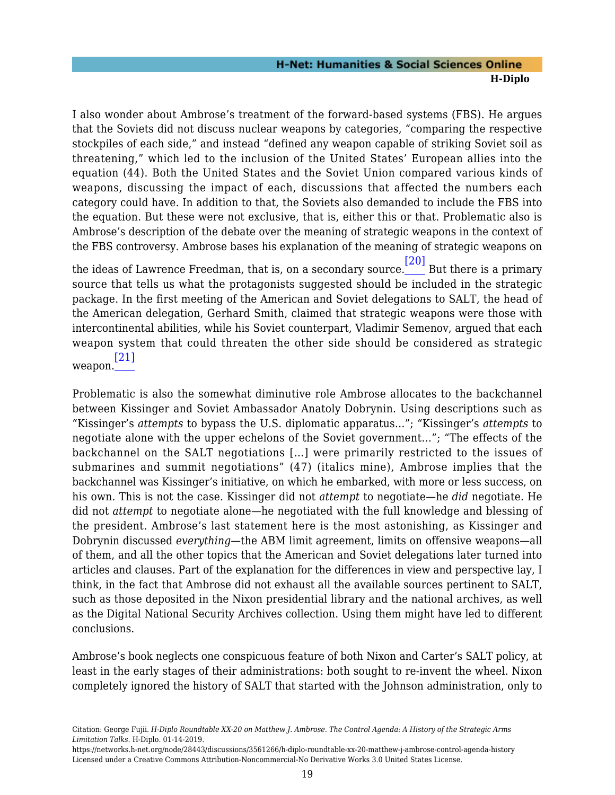I also wonder about Ambrose's treatment of the forward-based systems (FBS). He argues that the Soviets did not discuss nuclear weapons by categories, "comparing the respective stockpiles of each side," and instead "defined any weapon capable of striking Soviet soil as threatening," which led to the inclusion of the United States' European allies into the equation (44). Both the United States and the Soviet Union compared various kinds of weapons, discussing the impact of each, discussions that affected the numbers each category could have. In addition to that, the Soviets also demanded to include the FBS into the equation. But these were not exclusive, that is, either this or that. Problematic also is Ambrose's description of the debate over the meaning of strategic weapons in the context of the FBS controversy. Ambrose bases his explanation of the meaning of strategic weapons on

<span id="page-20-0"></span>the ideas of Lawrence Freedman, that is, on a secondary source. [\[20\]](#page-28-8) But there is a primary source that tells us what the protagonists suggested should be included in the strategic package. In the first meeting of the American and Soviet delegations to SALT, the head of the American delegation, Gerhard Smith, claimed that strategic weapons were those with intercontinental abilities, while his Soviet counterpart, Vladimir Semenov, argued that each weapon system that could threaten the other side should be considered as strategic [\[21\]](#page-28-9)

<span id="page-20-1"></span>weapon.

Problematic is also the somewhat diminutive role Ambrose allocates to the backchannel between Kissinger and Soviet Ambassador Anatoly Dobrynin. Using descriptions such as "Kissinger's *attempts* to bypass the U.S. diplomatic apparatus…"; "Kissinger's *attempts* to negotiate alone with the upper echelons of the Soviet government…"; "The effects of the backchannel on the SALT negotiations […] were primarily restricted to the issues of submarines and summit negotiations" (47) (italics mine), Ambrose implies that the backchannel was Kissinger's initiative, on which he embarked, with more or less success, on his own. This is not the case. Kissinger did not *attempt* to negotiate—he *did* negotiate. He did not *attempt* to negotiate alone—he negotiated with the full knowledge and blessing of the president. Ambrose's last statement here is the most astonishing, as Kissinger and Dobrynin discussed *everything*—the ABM limit agreement, limits on offensive weapons—all of them, and all the other topics that the American and Soviet delegations later turned into articles and clauses. Part of the explanation for the differences in view and perspective lay, I think, in the fact that Ambrose did not exhaust all the available sources pertinent to SALT, such as those deposited in the Nixon presidential library and the national archives, as well as the Digital National Security Archives collection. Using them might have led to different conclusions.

Ambrose's book neglects one conspicuous feature of both Nixon and Carter's SALT policy, at least in the early stages of their administrations: both sought to re-invent the wheel. Nixon completely ignored the history of SALT that started with the Johnson administration, only to

Citation: George Fujii. *H-Diplo Roundtable XX-20 on Matthew J. Ambrose. The Control Agenda: A History of the Strategic Arms Limitation Talks*. H-Diplo. 01-14-2019.

https://networks.h-net.org/node/28443/discussions/3561266/h-diplo-roundtable-xx-20-matthew-j-ambrose-control-agenda-history Licensed under a Creative Commons Attribution-Noncommercial-No Derivative Works 3.0 United States License.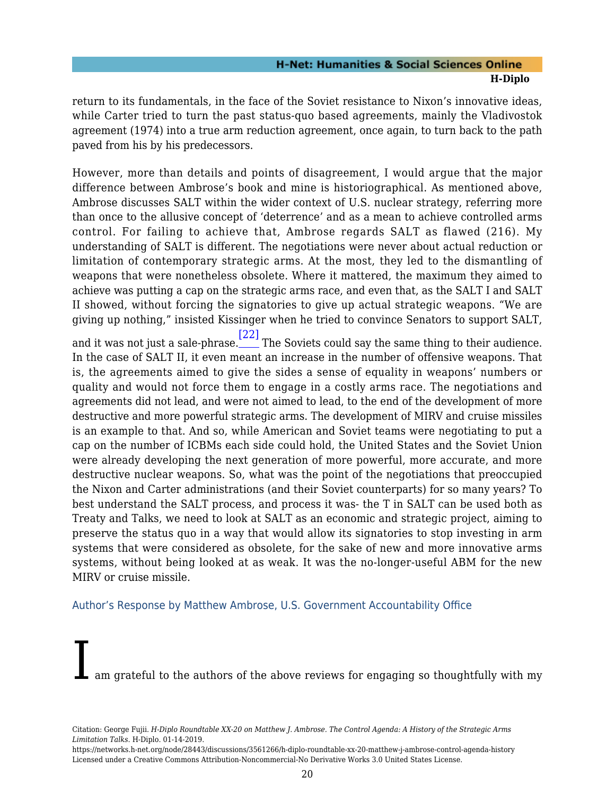return to its fundamentals, in the face of the Soviet resistance to Nixon's innovative ideas, while Carter tried to turn the past status-quo based agreements, mainly the Vladivostok agreement (1974) into a true arm reduction agreement, once again, to turn back to the path paved from his by his predecessors.

However, more than details and points of disagreement, I would argue that the major difference between Ambrose's book and mine is historiographical. As mentioned above, Ambrose discusses SALT within the wider context of U.S. nuclear strategy, referring more than once to the allusive concept of 'deterrence' and as a mean to achieve controlled arms control. For failing to achieve that, Ambrose regards SALT as flawed (216). My understanding of SALT is different. The negotiations were never about actual reduction or limitation of contemporary strategic arms. At the most, they led to the dismantling of weapons that were nonetheless obsolete. Where it mattered, the maximum they aimed to achieve was putting a cap on the strategic arms race, and even that, as the SALT I and SALT II showed, without forcing the signatories to give up actual strategic weapons. "We are giving up nothing," insisted Kissinger when he tried to convince Senators to support SALT,

<span id="page-21-1"></span>and it was not just a sale-phrase. [\[22\]](#page-28-10) The Soviets could say the same thing to their audience. In the case of SALT II, it even meant an increase in the number of offensive weapons. That is, the agreements aimed to give the sides a sense of equality in weapons' numbers or quality and would not force them to engage in a costly arms race. The negotiations and agreements did not lead, and were not aimed to lead, to the end of the development of more destructive and more powerful strategic arms. The development of MIRV and cruise missiles is an example to that. And so, while American and Soviet teams were negotiating to put a cap on the number of ICBMs each side could hold, the United States and the Soviet Union were already developing the next generation of more powerful, more accurate, and more destructive nuclear weapons. So, what was the point of the negotiations that preoccupied the Nixon and Carter administrations (and their Soviet counterparts) for so many years? To best understand the SALT process, and process it was- the T in SALT can be used both as Treaty and Talks, we need to look at SALT as an economic and strategic project, aiming to preserve the status quo in a way that would allow its signatories to stop investing in arm systems that were considered as obsolete, for the sake of new and more innovative arms systems, without being looked at as weak. It was the no-longer-useful ABM for the new MIRV or cruise missile.

#### <span id="page-21-0"></span>Author's Response by Matthew Ambrose, U.S. Government Accountability Office

am grateful to the authors of the above reviews for engaging so thoughtfully with my

Citation: George Fujii. *H-Diplo Roundtable XX-20 on Matthew J. Ambrose. The Control Agenda: A History of the Strategic Arms Limitation Talks*. H-Diplo. 01-14-2019.

https://networks.h-net.org/node/28443/discussions/3561266/h-diplo-roundtable-xx-20-matthew-j-ambrose-control-agenda-history Licensed under a Creative Commons Attribution-Noncommercial-No Derivative Works 3.0 United States License.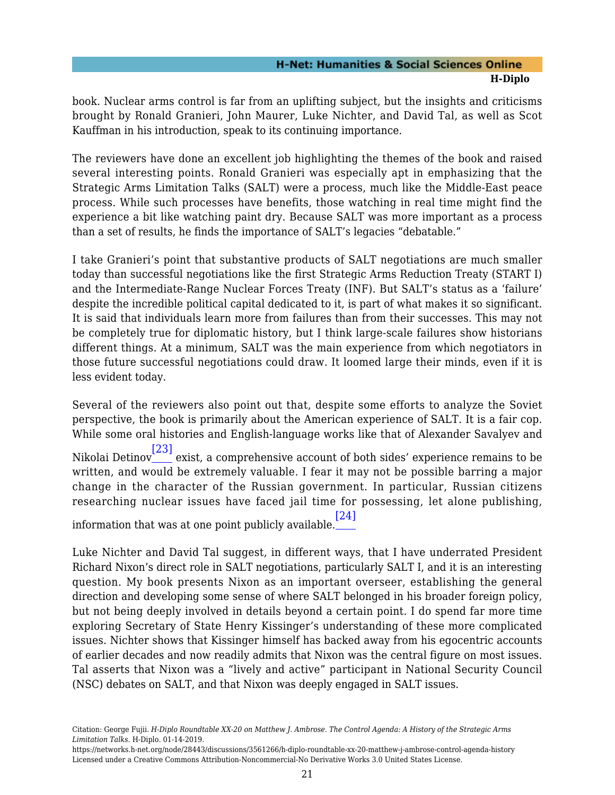book. Nuclear arms control is far from an uplifting subject, but the insights and criticisms brought by Ronald Granieri, John Maurer, Luke Nichter, and David Tal, as well as Scot Kauffman in his introduction, speak to its continuing importance.

The reviewers have done an excellent job highlighting the themes of the book and raised several interesting points. Ronald Granieri was especially apt in emphasizing that the Strategic Arms Limitation Talks (SALT) were a process, much like the Middle-East peace process. While such processes have benefits, those watching in real time might find the experience a bit like watching paint dry. Because SALT was more important as a process than a set of results, he finds the importance of SALT's legacies "debatable."

I take Granieri's point that substantive products of SALT negotiations are much smaller today than successful negotiations like the first Strategic Arms Reduction Treaty (START I) and the Intermediate-Range Nuclear Forces Treaty (INF). But SALT's status as a 'failure' despite the incredible political capital dedicated to it, is part of what makes it so significant. It is said that individuals learn more from failures than from their successes. This may not be completely true for diplomatic history, but I think large-scale failures show historians different things. At a minimum, SALT was the main experience from which negotiators in those future successful negotiations could draw. It loomed large their minds, even if it is less evident today.

<span id="page-22-0"></span>Several of the reviewers also point out that, despite some efforts to analyze the Soviet perspective, the book is primarily about the American experience of SALT. It is a fair cop. While some oral histories and English-language works like that of Alexander Savalyev and Nikolai Detinov [\[23\]](#page-28-11) exist, a comprehensive account of both sides' experience remains to be written, and would be extremely valuable. I fear it may not be possible barring a major change in the character of the Russian government. In particular, Russian citizens researching nuclear issues have faced jail time for possessing, let alone publishing,

<span id="page-22-1"></span>information that was at one point publicly available. [\[24\]](#page-28-12)

Luke Nichter and David Tal suggest, in different ways, that I have underrated President Richard Nixon's direct role in SALT negotiations, particularly SALT I, and it is an interesting question. My book presents Nixon as an important overseer, establishing the general direction and developing some sense of where SALT belonged in his broader foreign policy, but not being deeply involved in details beyond a certain point. I do spend far more time exploring Secretary of State Henry Kissinger's understanding of these more complicated issues. Nichter shows that Kissinger himself has backed away from his egocentric accounts of earlier decades and now readily admits that Nixon was the central figure on most issues. Tal asserts that Nixon was a "lively and active" participant in National Security Council (NSC) debates on SALT, and that Nixon was deeply engaged in SALT issues.

Citation: George Fujii. *H-Diplo Roundtable XX-20 on Matthew J. Ambrose. The Control Agenda: A History of the Strategic Arms Limitation Talks*. H-Diplo. 01-14-2019.

https://networks.h-net.org/node/28443/discussions/3561266/h-diplo-roundtable-xx-20-matthew-j-ambrose-control-agenda-history Licensed under a Creative Commons Attribution-Noncommercial-No Derivative Works 3.0 United States License.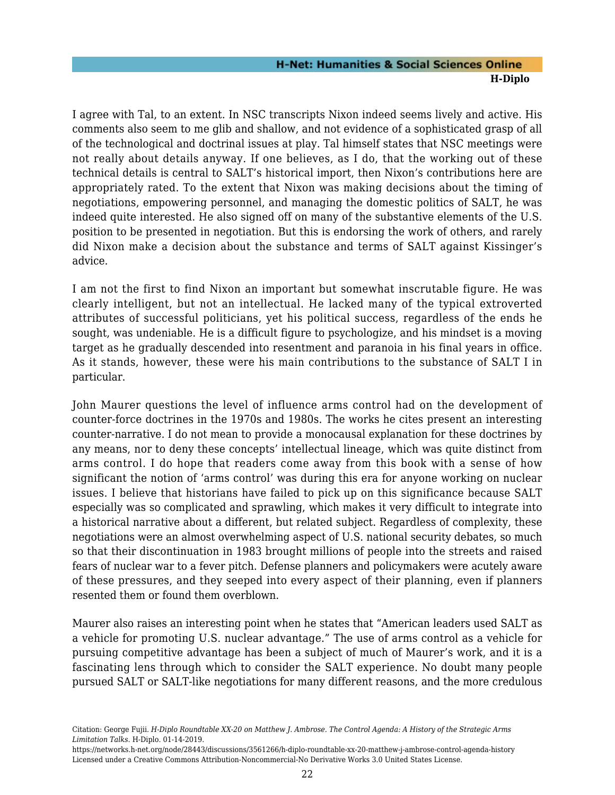I agree with Tal, to an extent. In NSC transcripts Nixon indeed seems lively and active. His comments also seem to me glib and shallow, and not evidence of a sophisticated grasp of all of the technological and doctrinal issues at play. Tal himself states that NSC meetings were not really about details anyway. If one believes, as I do, that the working out of these technical details is central to SALT's historical import, then Nixon's contributions here are appropriately rated. To the extent that Nixon was making decisions about the timing of negotiations, empowering personnel, and managing the domestic politics of SALT, he was indeed quite interested. He also signed off on many of the substantive elements of the U.S. position to be presented in negotiation. But this is endorsing the work of others, and rarely did Nixon make a decision about the substance and terms of SALT against Kissinger's advice.

I am not the first to find Nixon an important but somewhat inscrutable figure. He was clearly intelligent, but not an intellectual. He lacked many of the typical extroverted attributes of successful politicians, yet his political success, regardless of the ends he sought, was undeniable. He is a difficult figure to psychologize, and his mindset is a moving target as he gradually descended into resentment and paranoia in his final years in office. As it stands, however, these were his main contributions to the substance of SALT I in particular.

John Maurer questions the level of influence arms control had on the development of counter-force doctrines in the 1970s and 1980s. The works he cites present an interesting counter-narrative. I do not mean to provide a monocausal explanation for these doctrines by any means, nor to deny these concepts' intellectual lineage, which was quite distinct from arms control. I do hope that readers come away from this book with a sense of how significant the notion of 'arms control' was during this era for anyone working on nuclear issues. I believe that historians have failed to pick up on this significance because SALT especially was so complicated and sprawling, which makes it very difficult to integrate into a historical narrative about a different, but related subject. Regardless of complexity, these negotiations were an almost overwhelming aspect of U.S. national security debates, so much so that their discontinuation in 1983 brought millions of people into the streets and raised fears of nuclear war to a fever pitch. Defense planners and policymakers were acutely aware of these pressures, and they seeped into every aspect of their planning, even if planners resented them or found them overblown.

Maurer also raises an interesting point when he states that "American leaders used SALT as a vehicle for promoting U.S. nuclear advantage." The use of arms control as a vehicle for pursuing competitive advantage has been a subject of much of Maurer's work, and it is a fascinating lens through which to consider the SALT experience. No doubt many people pursued SALT or SALT-like negotiations for many different reasons, and the more credulous

https://networks.h-net.org/node/28443/discussions/3561266/h-diplo-roundtable-xx-20-matthew-j-ambrose-control-agenda-history Licensed under a Creative Commons Attribution-Noncommercial-No Derivative Works 3.0 United States License.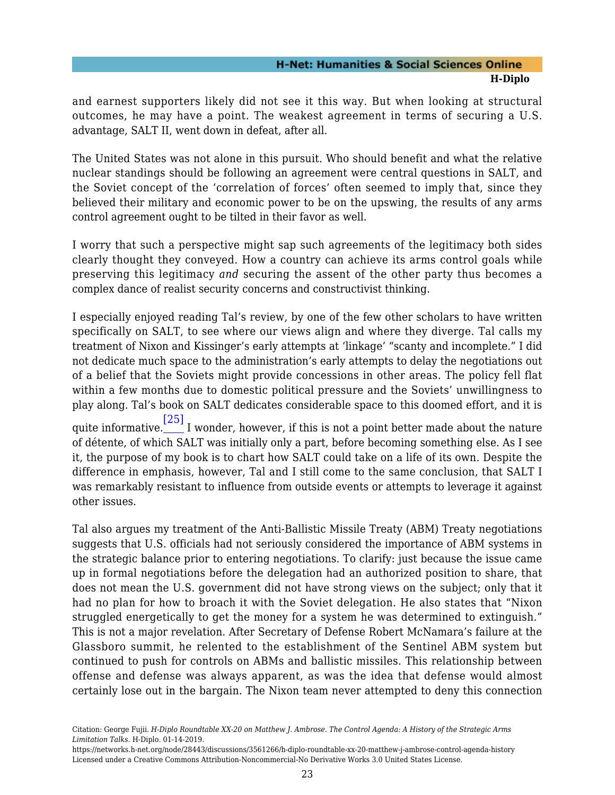and earnest supporters likely did not see it this way. But when looking at structural outcomes, he may have a point. The weakest agreement in terms of securing a U.S. advantage, SALT II, went down in defeat, after all.

The United States was not alone in this pursuit. Who should benefit and what the relative nuclear standings should be following an agreement were central questions in SALT, and the Soviet concept of the 'correlation of forces' often seemed to imply that, since they believed their military and economic power to be on the upswing, the results of any arms control agreement ought to be tilted in their favor as well.

I worry that such a perspective might sap such agreements of the legitimacy both sides clearly thought they conveyed. How a country can achieve its arms control goals while preserving this legitimacy *and* securing the assent of the other party thus becomes a complex dance of realist security concerns and constructivist thinking.

I especially enjoyed reading Tal's review, by one of the few other scholars to have written specifically on SALT, to see where our views align and where they diverge. Tal calls my treatment of Nixon and Kissinger's early attempts at 'linkage' "scanty and incomplete." I did not dedicate much space to the administration's early attempts to delay the negotiations out of a belief that the Soviets might provide concessions in other areas. The policy fell flat within a few months due to domestic political pressure and the Soviets' unwillingness to play along. Tal's book on SALT dedicates considerable space to this doomed effort, and it is quite informative. [\[25\]](#page-28-13) I wonder, however, if this is not a point better made about the nature of détente, of which SALT was initially only a part, before becoming something else. As I see

<span id="page-24-0"></span>it, the purpose of my book is to chart how SALT could take on a life of its own. Despite the difference in emphasis, however, Tal and I still come to the same conclusion, that SALT I was remarkably resistant to influence from outside events or attempts to leverage it against other issues.

<span id="page-24-1"></span>Tal also argues my treatment of the Anti-Ballistic Missile Treaty (ABM) Treaty negotiations suggests that U.S. officials had not seriously considered the importance of ABM systems in the strategic balance prior to entering negotiations. To clarify: just because the issue came up in formal negotiations before the delegation had an authorized position to share, that does not mean the U.S. government did not have strong views on the subject; only that it had no plan for how to broach it with the Soviet delegation. He also states that "Nixon struggled energetically to get the money for a system he was determined to extinguish." This is not a major revelation. After Secretary of Defense Robert McNamara's failure at the Glassboro summit, he relented to the establishment of the Sentinel ABM system but continued to push for controls on ABMs and ballistic missiles. This relationship between offense and defense was always apparent, as was the idea that defense would almost certainly lose out in the bargain. The Nixon team never attempted to deny this connection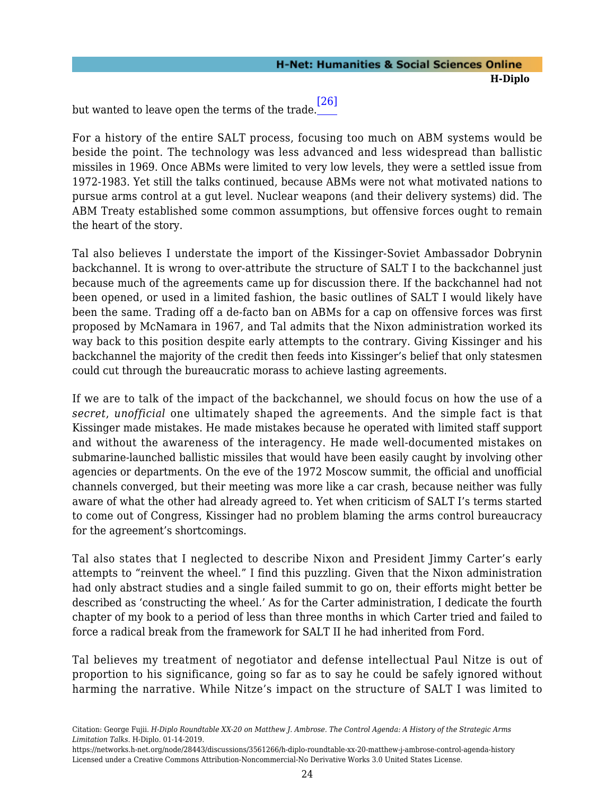but wanted to leave open the terms of the trade. [\[26\]](#page-28-14)

For a history of the entire SALT process, focusing too much on ABM systems would be beside the point. The technology was less advanced and less widespread than ballistic missiles in 1969. Once ABMs were limited to very low levels, they were a settled issue from 1972-1983. Yet still the talks continued, because ABMs were not what motivated nations to pursue arms control at a gut level. Nuclear weapons (and their delivery systems) did. The ABM Treaty established some common assumptions, but offensive forces ought to remain the heart of the story.

Tal also believes I understate the import of the Kissinger-Soviet Ambassador Dobrynin backchannel. It is wrong to over-attribute the structure of SALT I to the backchannel just because much of the agreements came up for discussion there. If the backchannel had not been opened, or used in a limited fashion, the basic outlines of SALT I would likely have been the same. Trading off a de-facto ban on ABMs for a cap on offensive forces was first proposed by McNamara in 1967, and Tal admits that the Nixon administration worked its way back to this position despite early attempts to the contrary. Giving Kissinger and his backchannel the majority of the credit then feeds into Kissinger's belief that only statesmen could cut through the bureaucratic morass to achieve lasting agreements.

If we are to talk of the impact of the backchannel, we should focus on how the use of a *secret*, *unofficial* one ultimately shaped the agreements. And the simple fact is that Kissinger made mistakes. He made mistakes because he operated with limited staff support and without the awareness of the interagency. He made well-documented mistakes on submarine-launched ballistic missiles that would have been easily caught by involving other agencies or departments. On the eve of the 1972 Moscow summit, the official and unofficial channels converged, but their meeting was more like a car crash, because neither was fully aware of what the other had already agreed to. Yet when criticism of SALT I's terms started to come out of Congress, Kissinger had no problem blaming the arms control bureaucracy for the agreement's shortcomings.

Tal also states that I neglected to describe Nixon and President Jimmy Carter's early attempts to "reinvent the wheel." I find this puzzling. Given that the Nixon administration had only abstract studies and a single failed summit to go on, their efforts might better be described as 'constructing the wheel.' As for the Carter administration, I dedicate the fourth chapter of my book to a period of less than three months in which Carter tried and failed to force a radical break from the framework for SALT II he had inherited from Ford.

Tal believes my treatment of negotiator and defense intellectual Paul Nitze is out of proportion to his significance, going so far as to say he could be safely ignored without harming the narrative. While Nitze's impact on the structure of SALT I was limited to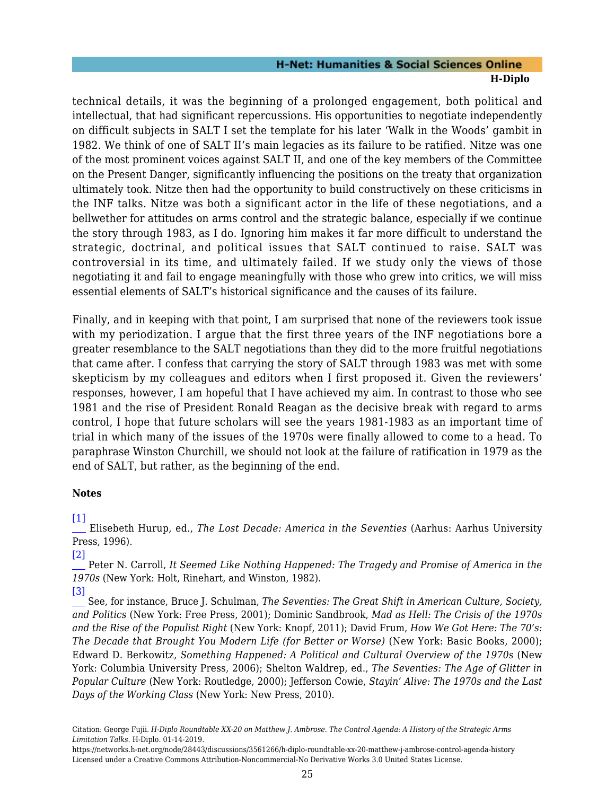technical details, it was the beginning of a prolonged engagement, both political and intellectual, that had significant repercussions. His opportunities to negotiate independently on difficult subjects in SALT I set the template for his later 'Walk in the Woods' gambit in 1982. We think of one of SALT II's main legacies as its failure to be ratified. Nitze was one of the most prominent voices against SALT II, and one of the key members of the Committee on the Present Danger, significantly influencing the positions on the treaty that organization ultimately took. Nitze then had the opportunity to build constructively on these criticisms in the INF talks. Nitze was both a significant actor in the life of these negotiations, and a bellwether for attitudes on arms control and the strategic balance, especially if we continue the story through 1983, as I do. Ignoring him makes it far more difficult to understand the strategic, doctrinal, and political issues that SALT continued to raise. SALT was controversial in its time, and ultimately failed. If we study only the views of those negotiating it and fail to engage meaningfully with those who grew into critics, we will miss essential elements of SALT's historical significance and the causes of its failure.

Finally, and in keeping with that point, I am surprised that none of the reviewers took issue with my periodization. I argue that the first three years of the INF negotiations bore a greater resemblance to the SALT negotiations than they did to the more fruitful negotiations that came after. I confess that carrying the story of SALT through 1983 was met with some skepticism by my colleagues and editors when I first proposed it. Given the reviewers' responses, however, I am hopeful that I have achieved my aim. In contrast to those who see 1981 and the rise of President Ronald Reagan as the decisive break with regard to arms control, I hope that future scholars will see the years 1981-1983 as an important time of trial in which many of the issues of the 1970s were finally allowed to come to a head. To paraphrase Winston Churchill, we should not look at the failure of ratification in 1979 as the end of SALT, but rather, as the beginning of the end.

#### **Notes**

<span id="page-26-0"></span>[\[1\]](#page-3-1)

 Elisebeth Hurup, ed., *The Lost Decade: America in the Seventies* (Aarhus: Aarhus University Press, 1996).

<span id="page-26-1"></span>[\[2\]](#page-3-2)

 Peter N. Carroll, *It Seemed Like Nothing Happened: The Tragedy and Promise of America in the 1970s* (New York: Holt, Rinehart, and Winston, 1982).

<span id="page-26-2"></span>[\[3\]](#page-3-3)

 See, for instance, Bruce J. Schulman, *The Seventies: The Great Shift in American Culture, Society, and Politics* (New York: Free Press, 2001); Dominic Sandbrook, *Mad as Hell: The Crisis of the 1970s and the Rise of the Populist Right* (New York: Knopf, 2011); David Frum, *How We Got Here: The 70's: The Decade that Brought You Modern Life (for Better or Worse)* (New York: Basic Books, 2000); Edward D. Berkowitz, *Something Happened: A Political and Cultural Overview of the 1970s* (New York: Columbia University Press, 2006); Shelton Waldrep, ed., *The Seventies: The Age of Glitter in Popular Culture* (New York: Routledge, 2000); Jefferson Cowie, *Stayin' Alive: The 1970s and the Last Days of the Working Class* (New York: New Press, 2010).

https://networks.h-net.org/node/28443/discussions/3561266/h-diplo-roundtable-xx-20-matthew-j-ambrose-control-agenda-history Licensed under a Creative Commons Attribution-Noncommercial-No Derivative Works 3.0 United States License.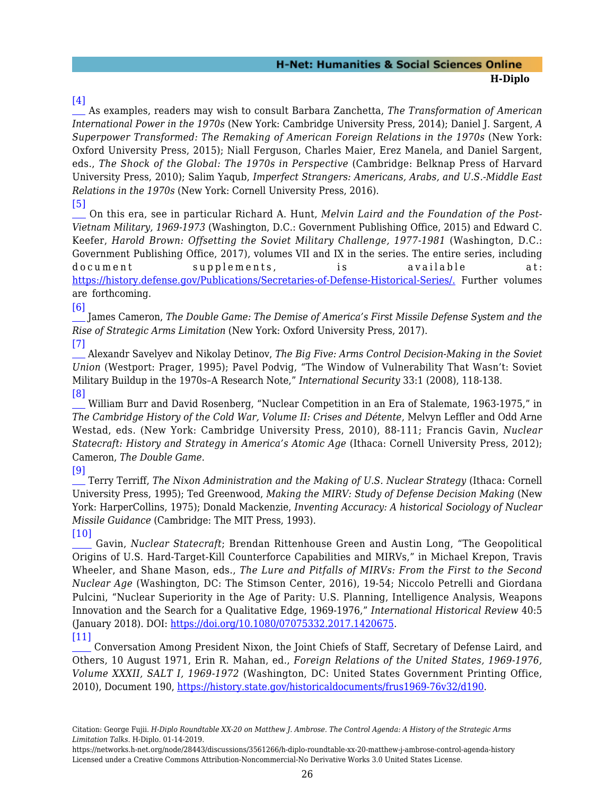#### <span id="page-27-0"></span>[\[4\]](#page-3-4)

 As examples, readers may wish to consult Barbara Zanchetta, *The Transformation of American International Power in the 1970s* (New York: Cambridge University Press, 2014); Daniel J. Sargent, *A Superpower Transformed: The Remaking of American Foreign Relations in the 1970s* (New York: Oxford University Press, 2015); Niall Ferguson, Charles Maier, Erez Manela, and Daniel Sargent, eds., *The Shock of the Global: The 1970s in Perspective* (Cambridge: Belknap Press of Harvard University Press, 2010); Salim Yaqub, *Imperfect Strangers: Americans, Arabs, and U.S.-Middle East Relations in the 1970s* (New York: Cornell University Press, 2016).

<span id="page-27-1"></span>[\[5\]](#page-9-0)

 On this era, see in particular Richard A. Hunt, *Melvin Laird and the Foundation of the Post-Vietnam Military, 1969-1973* (Washington, D.C.: Government Publishing Office, 2015) and Edward C. Keefer, *Harold Brown: Offsetting the Soviet Military Challenge, 1977-1981* (Washington, D.C.: Government Publishing Office, 2017), volumes VII and IX in the series. The entire series, including document supplements, is available at: [https://history.defense.gov/Publications/Secretaries-of-Defense-Historical-Series/.](https://history.defense.gov/Publications/Secretaries-of-Defense-Historical-Series/) Further volumes are forthcoming.

<span id="page-27-2"></span>[\[6\]](#page-10-1)

 James Cameron, *The Double Game: The Demise of America's First Missile Defense System and the Rise of Strategic Arms Limitation* (New York: Oxford University Press, 2017). [\[7\]](#page-11-0)

<span id="page-27-3"></span> Alexandr Savelyev and Nikolay Detinov, *The Big Five: Arms Control Decision-Making in the Soviet Union* (Westport: Prager, 1995); Pavel Podvig, "The Window of Vulnerability That Wasn't: Soviet Military Buildup in the 1970s–A Research Note," *International Security* 33:1 (2008), 118-138. [\[8\]](#page-11-1)

<span id="page-27-4"></span> William Burr and David Rosenberg, "Nuclear Competition in an Era of Stalemate, 1963-1975," in *The Cambridge History of the Cold War, Volume II: Crises and Détente*, Melvyn Leffler and Odd Arne Westad, eds. (New York: Cambridge University Press, 2010), 88-111; Francis Gavin, *Nuclear Statecraft: History and Strategy in America's Atomic Age* (Ithaca: Cornell University Press, 2012); Cameron, *The Double Game*.

<span id="page-27-5"></span>[\[9\]](#page-12-0)

 Terry Terriff, *The Nixon Administration and the Making of U.S. Nuclear Strategy* (Ithaca: Cornell University Press, 1995); Ted Greenwood, *Making the MIRV: Study of Defense Decision Making* (New York: HarperCollins, 1975); Donald Mackenzie, *Inventing Accuracy: A historical Sociology of Nuclear Missile Guidance* (Cambridge: The MIT Press, 1993).

<span id="page-27-6"></span>[\[10\]](#page-12-1) Gavin, *Nuclear Statecraft*; Brendan Rittenhouse Green and Austin Long, "The Geopolitical Origins of U.S. Hard-Target-Kill Counterforce Capabilities and MIRVs," in Michael Krepon, Travis Wheeler, and Shane Mason, eds., *The Lure and Pitfalls of MIRVs: From the First to the Second Nuclear Age* (Washington, DC: The Stimson Center, 2016), 19-54; Niccolo Petrelli and Giordana Pulcini, "Nuclear Superiority in the Age of Parity: U.S. Planning, Intelligence Analysis, Weapons Innovation and the Search for a Qualitative Edge, 1969-1976," *International Historical Review* 40:5 (January 2018). DOI: <https://doi.org/10.1080/07075332.2017.1420675>.

<span id="page-27-7"></span>[\[11\]](#page-13-1) Conversation Among President Nixon, the Joint Chiefs of Staff, Secretary of Defense Laird, and Others, 10 August 1971, Erin R. Mahan, ed., *Foreign Relations of the United States, 1969-1976, Volume XXXII, SALT I, 1969-1972* (Washington, DC: United States Government Printing Office, 2010), Document 190, [https://history.state.gov/historicaldocuments/frus1969-76v32/d190.](https://history.state.gov/historicaldocuments/frus1969-76v32/d190)

Citation: George Fujii. *H-Diplo Roundtable XX-20 on Matthew J. Ambrose. The Control Agenda: A History of the Strategic Arms Limitation Talks*. H-Diplo. 01-14-2019.

https://networks.h-net.org/node/28443/discussions/3561266/h-diplo-roundtable-xx-20-matthew-j-ambrose-control-agenda-history Licensed under a Creative Commons Attribution-Noncommercial-No Derivative Works 3.0 United States License.